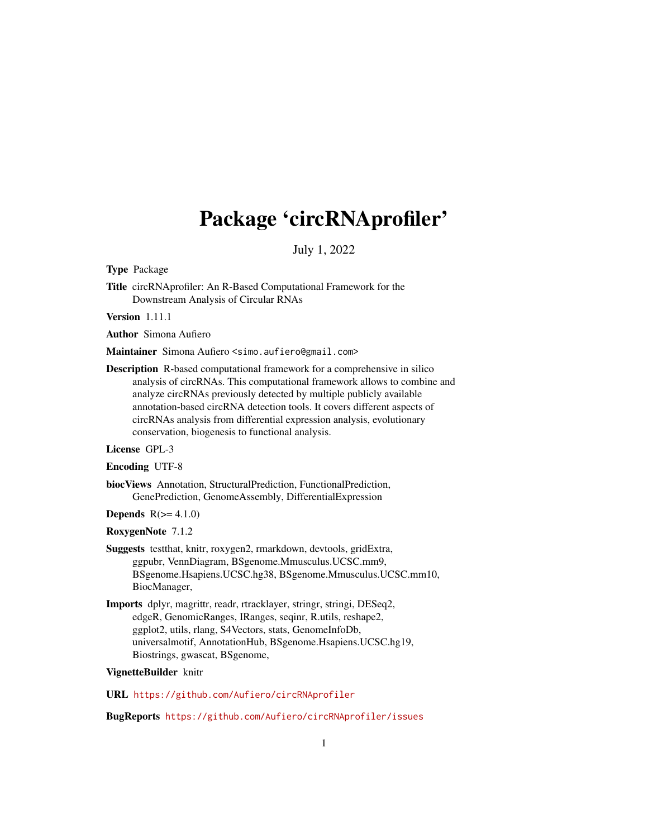# Package 'circRNAprofiler'

July 1, 2022

<span id="page-0-0"></span>Type Package

Title circRNAprofiler: An R-Based Computational Framework for the Downstream Analysis of Circular RNAs

Version 1.11.1

Author Simona Aufiero

Maintainer Simona Aufiero <simo.aufiero@gmail.com>

Description R-based computational framework for a comprehensive in silico analysis of circRNAs. This computational framework allows to combine and analyze circRNAs previously detected by multiple publicly available annotation-based circRNA detection tools. It covers different aspects of circRNAs analysis from differential expression analysis, evolutionary conservation, biogenesis to functional analysis.

License GPL-3

Encoding UTF-8

biocViews Annotation, StructuralPrediction, FunctionalPrediction, GenePrediction, GenomeAssembly, DifferentialExpression

Depends  $R(>= 4.1.0)$ 

RoxygenNote 7.1.2

- Suggests testthat, knitr, roxygen2, rmarkdown, devtools, gridExtra, ggpubr, VennDiagram, BSgenome.Mmusculus.UCSC.mm9, BSgenome.Hsapiens.UCSC.hg38, BSgenome.Mmusculus.UCSC.mm10, BiocManager,
- Imports dplyr, magrittr, readr, rtracklayer, stringr, stringi, DESeq2, edgeR, GenomicRanges, IRanges, seqinr, R.utils, reshape2, ggplot2, utils, rlang, S4Vectors, stats, GenomeInfoDb, universalmotif, AnnotationHub, BSgenome.Hsapiens.UCSC.hg19, Biostrings, gwascat, BSgenome,

#### VignetteBuilder knitr

URL <https://github.com/Aufiero/circRNAprofiler>

BugReports <https://github.com/Aufiero/circRNAprofiler/issues>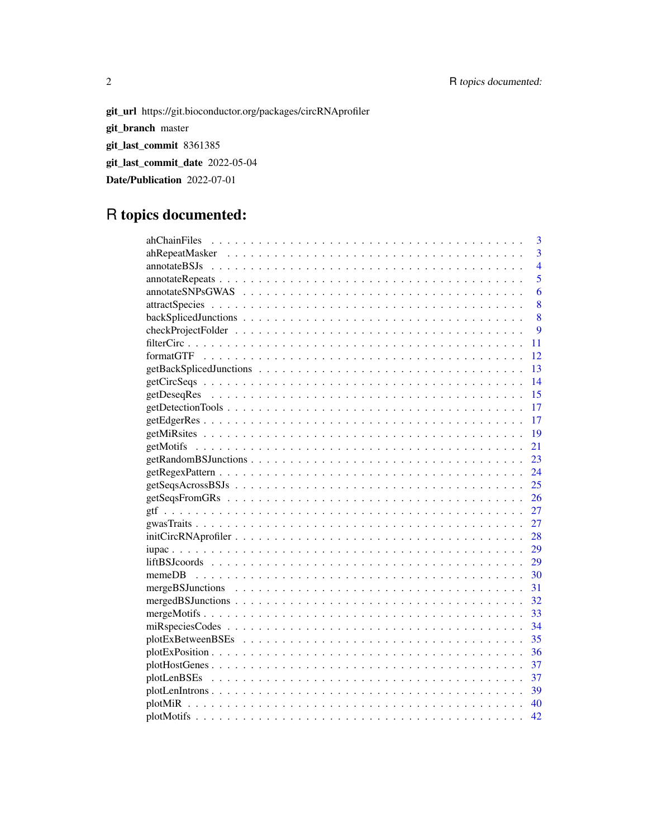git\_url https://git.bioconductor.org/packages/circRNAprofiler git\_branch master git\_last\_commit 8361385 git\_last\_commit\_date 2022-05-04 Date/Publication 2022-07-01

# R topics documented:

| $\overline{3}$                 |
|--------------------------------|
| $\overline{3}$                 |
| $\overline{4}$<br>annotateBSJs |
| 5                              |
| 6                              |
| 8                              |
| 8                              |
| 9                              |
| 11                             |
| 12                             |
| 13                             |
| 14                             |
| 15                             |
| 17                             |
| 17                             |
| 19                             |
| 21                             |
| 23                             |
| 24                             |
| 25                             |
| 26                             |
| 27                             |
| 27                             |
| 28                             |
| 29                             |
| 29                             |
| 30                             |
| 31                             |
| 32                             |
| 33                             |
| 34                             |
| 35                             |
| 36                             |
| 37                             |
| 37                             |
| -39                            |
| 40                             |
| 42                             |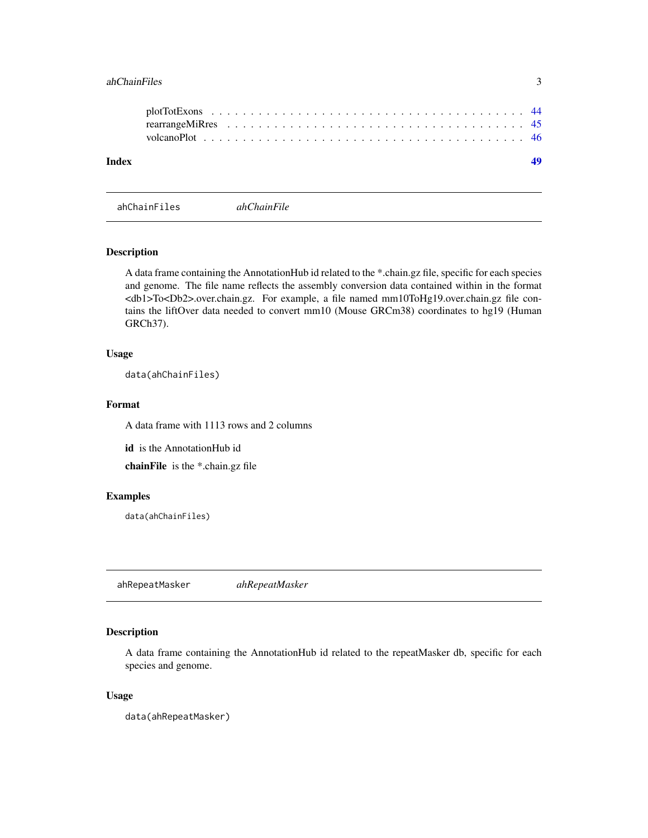#### <span id="page-2-0"></span>ahChainFiles 3

| Index |  |  |  |  |  |  |  |  |  |  |  |  |  |  |  |  |  |
|-------|--|--|--|--|--|--|--|--|--|--|--|--|--|--|--|--|--|
|       |  |  |  |  |  |  |  |  |  |  |  |  |  |  |  |  |  |
|       |  |  |  |  |  |  |  |  |  |  |  |  |  |  |  |  |  |

ahChainFiles *ahChainFile*

### Description

A data frame containing the AnnotationHub id related to the \*.chain.gz file, specific for each species and genome. The file name reflects the assembly conversion data contained within in the format <db1>To<Db2>.over.chain.gz. For example, a file named mm10ToHg19.over.chain.gz file contains the liftOver data needed to convert mm10 (Mouse GRCm38) coordinates to hg19 (Human GRCh37).

#### Usage

data(ahChainFiles)

#### Format

A data frame with 1113 rows and 2 columns

id is the AnnotationHub id

chainFile is the \*.chain.gz file

#### Examples

data(ahChainFiles)

ahRepeatMasker *ahRepeatMasker*

### Description

A data frame containing the AnnotationHub id related to the repeatMasker db, specific for each species and genome.

#### Usage

data(ahRepeatMasker)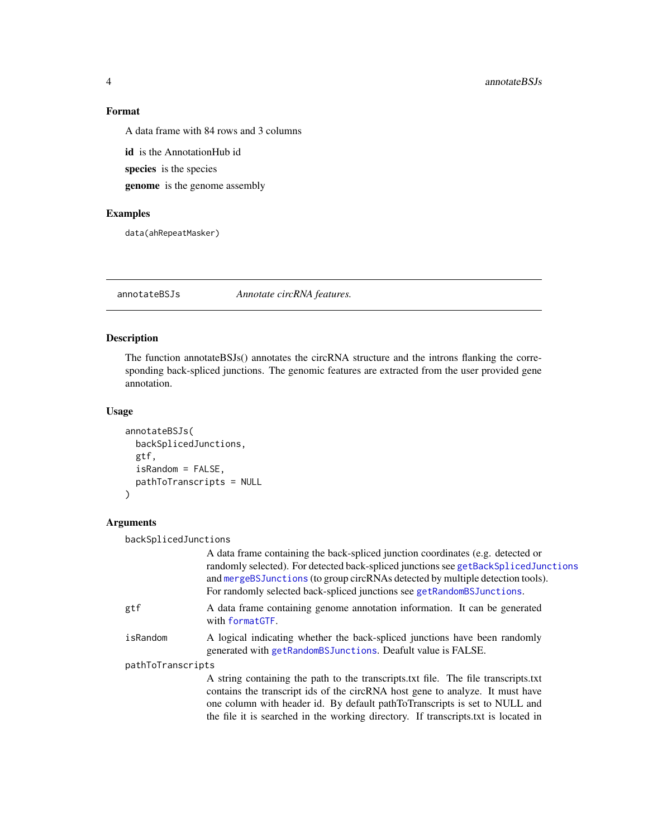### Format

A data frame with 84 rows and 3 columns

id is the AnnotationHub id species is the species genome is the genome assembly

### Examples

data(ahRepeatMasker)

<span id="page-3-1"></span>annotateBSJs *Annotate circRNA features.*

### Description

The function annotateBSJs() annotates the circRNA structure and the introns flanking the corresponding back-spliced junctions. The genomic features are extracted from the user provided gene annotation.

### Usage

```
annotateBSJs(
  backSplicedJunctions,
  gtf,
  isRandom = FALSE,
  pathToTranscripts = NULL
\mathcal{L}
```
### Arguments

backSplicedJunctions

|                   | A data frame containing the back-spliced junction coordinates (e.g. detected or<br>randomly selected). For detected back-spliced junctions see getBackSplicedJunctions<br>and mergeBSJunctions (to group circRNAs detected by multiple detection tools).<br>For randomly selected back-spliced junctions see getRandomBSJunctions.      |
|-------------------|-----------------------------------------------------------------------------------------------------------------------------------------------------------------------------------------------------------------------------------------------------------------------------------------------------------------------------------------|
| gtf               | A data frame containing genome annotation information. It can be generated<br>with formatGTF.                                                                                                                                                                                                                                           |
| isRandom          | A logical indicating whether the back-spliced junctions have been randomly<br>generated with getRandomBSJunctions. Deafult value is FALSE.                                                                                                                                                                                              |
| pathToTranscripts |                                                                                                                                                                                                                                                                                                                                         |
|                   | A string containing the path to the transcripts.txt file. The file transcripts.txt<br>contains the transcript ids of the circRNA host gene to analyze. It must have<br>one column with header id. By default pathToTranscripts is set to NULL and<br>the file it is searched in the working directory. If transcripts txt is located in |

<span id="page-3-0"></span>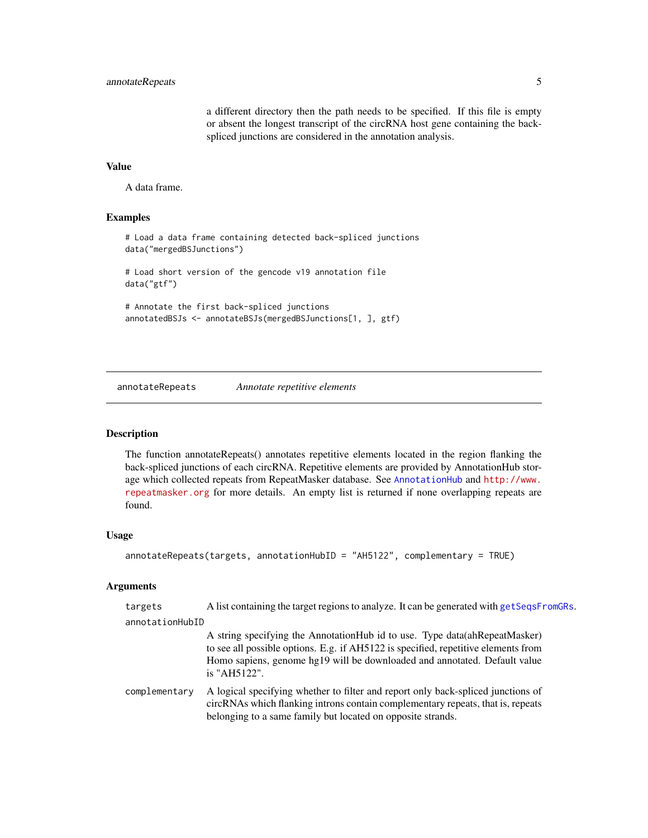a different directory then the path needs to be specified. If this file is empty or absent the longest transcript of the circRNA host gene containing the backspliced junctions are considered in the annotation analysis.

### <span id="page-4-0"></span>Value

A data frame.

#### Examples

```
# Load a data frame containing detected back-spliced junctions
data("mergedBSJunctions")
# Load short version of the gencode v19 annotation file
data("gtf")
```

```
# Annotate the first back-spliced junctions
annotatedBSJs <- annotateBSJs(mergedBSJunctions[1, ], gtf)
```
annotateRepeats *Annotate repetitive elements*

### Description

The function annotateRepeats() annotates repetitive elements located in the region flanking the back-spliced junctions of each circRNA. Repetitive elements are provided by AnnotationHub storage which collected repeats from RepeatMasker database. See [AnnotationHub](#page-0-0) and [http://www.](http://www.repeatmasker.org) [repeatmasker.org](http://www.repeatmasker.org) for more details. An empty list is returned if none overlapping repeats are found.

#### Usage

```
annotateRepeats(targets, annotationHubID = "AH5122", complementary = TRUE)
```
#### Arguments

| targets         | A list containing the target regions to analyze. It can be generated with get SeqsFromGRs.                                                                                                                                                                     |
|-----------------|----------------------------------------------------------------------------------------------------------------------------------------------------------------------------------------------------------------------------------------------------------------|
| annotationHubID |                                                                                                                                                                                                                                                                |
|                 | A string specifying the AnnotationHub id to use. Type data (ahRepeatMasker)<br>to see all possible options. E.g. if AH5122 is specified, repetitive elements from<br>Homo sapiens, genome hg19 will be downloaded and annotated. Default value<br>is "AH5122". |
| complementary   | A logical specifying whether to filter and report only back-spliced junctions of<br>circRNAs which flanking introns contain complementary repeats, that is, repeats<br>belonging to a same family but located on opposite strands.                             |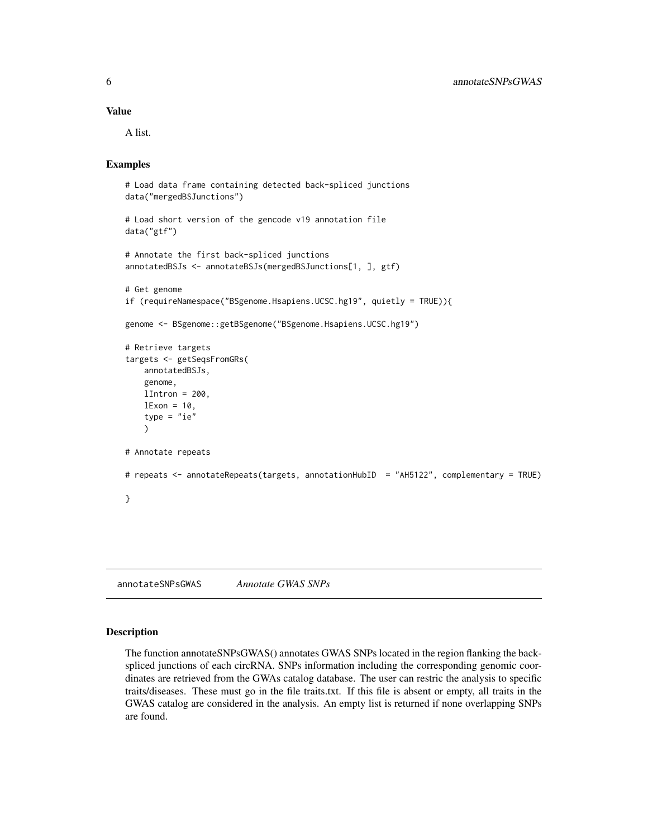#### <span id="page-5-0"></span>Value

A list.

#### Examples

```
# Load data frame containing detected back-spliced junctions
data("mergedBSJunctions")
# Load short version of the gencode v19 annotation file
data("gtf")
# Annotate the first back-spliced junctions
annotatedBSJs <- annotateBSJs(mergedBSJunctions[1, ], gtf)
# Get genome
if (requireNamespace("BSgenome.Hsapiens.UCSC.hg19", quietly = TRUE)){
genome <- BSgenome::getBSgenome("BSgenome.Hsapiens.UCSC.hg19")
# Retrieve targets
targets <- getSeqsFromGRs(
   annotatedBSJs,
   genome,
   lIntron = 200,lExon = 10,
    type = "ie"\lambda# Annotate repeats
# repeats <- annotateRepeats(targets, annotationHubID = "AH5122", complementary = TRUE)
}
```
annotateSNPsGWAS *Annotate GWAS SNPs*

#### Description

The function annotateSNPsGWAS() annotates GWAS SNPs located in the region flanking the backspliced junctions of each circRNA. SNPs information including the corresponding genomic coordinates are retrieved from the GWAs catalog database. The user can restric the analysis to specific traits/diseases. These must go in the file traits.txt. If this file is absent or empty, all traits in the GWAS catalog are considered in the analysis. An empty list is returned if none overlapping SNPs are found.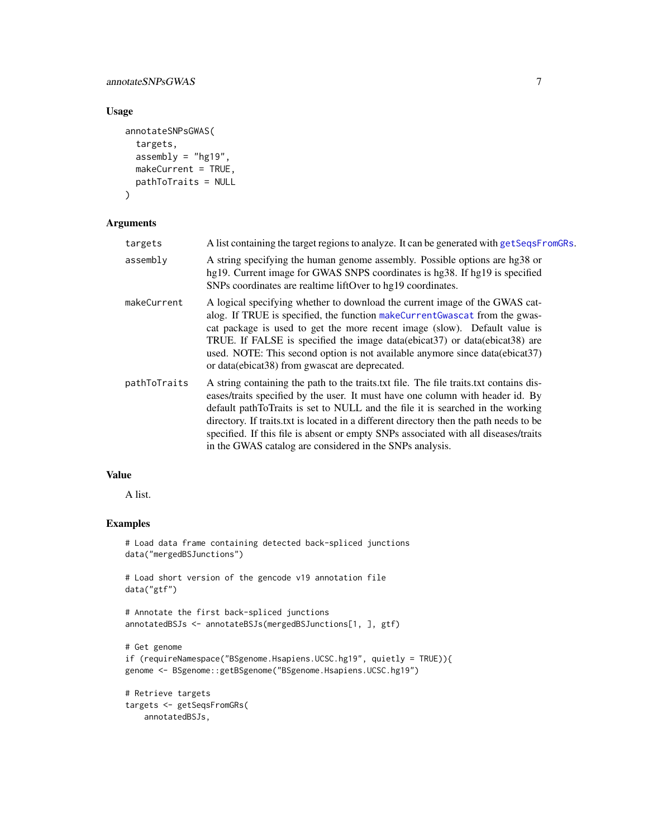### <span id="page-6-0"></span>annotateSNPsGWAS 7

### Usage

```
annotateSNPsGWAS(
  targets,
  assembly = "hg19",makeCurrent = TRUE,
  pathToTraits = NULL
\overline{)}
```
#### Arguments

| targets      | A list containing the target regions to analyze. It can be generated with get SeqsFromGRs.                                                                                                                                                                                                                                                                                                                                                                                                              |
|--------------|---------------------------------------------------------------------------------------------------------------------------------------------------------------------------------------------------------------------------------------------------------------------------------------------------------------------------------------------------------------------------------------------------------------------------------------------------------------------------------------------------------|
| assembly     | A string specifying the human genome assembly. Possible options are hg38 or<br>hg19. Current image for GWAS SNPS coordinates is hg38. If hg19 is specified<br>SNPs coordinates are realtime liftOver to hg19 coordinates.                                                                                                                                                                                                                                                                               |
| makeCurrent  | A logical specifying whether to download the current image of the GWAS cat-<br>alog. If TRUE is specified, the function makeCurrentGwascat from the gwas-<br>cat package is used to get the more recent image (slow). Default value is<br>TRUE. If FALSE is specified the image data(ebicat37) or data(ebicat38) are<br>used. NOTE: This second option is not available anymore since data(ebicat37)<br>or data(ebicat38) from gwascat are deprecated.                                                  |
| pathToTraits | A string containing the path to the traits.txt file. The file traits.txt contains dis-<br>eases/traits specified by the user. It must have one column with header id. By<br>default pathToTraits is set to NULL and the file it is searched in the working<br>directory. If traits txt is located in a different directory then the path needs to be<br>specified. If this file is absent or empty SNPs associated with all diseases/traits<br>in the GWAS catalog are considered in the SNPs analysis. |

### Value

A list.

### Examples

```
# Load data frame containing detected back-spliced junctions
data("mergedBSJunctions")
```

```
# Load short version of the gencode v19 annotation file
data("gtf")
```

```
# Annotate the first back-spliced junctions
annotatedBSJs <- annotateBSJs(mergedBSJunctions[1, ], gtf)
```

```
# Get genome
if (requireNamespace("BSgenome.Hsapiens.UCSC.hg19", quietly = TRUE)){
genome <- BSgenome::getBSgenome("BSgenome.Hsapiens.UCSC.hg19")
```

```
# Retrieve targets
targets <- getSeqsFromGRs(
   annotatedBSJs,
```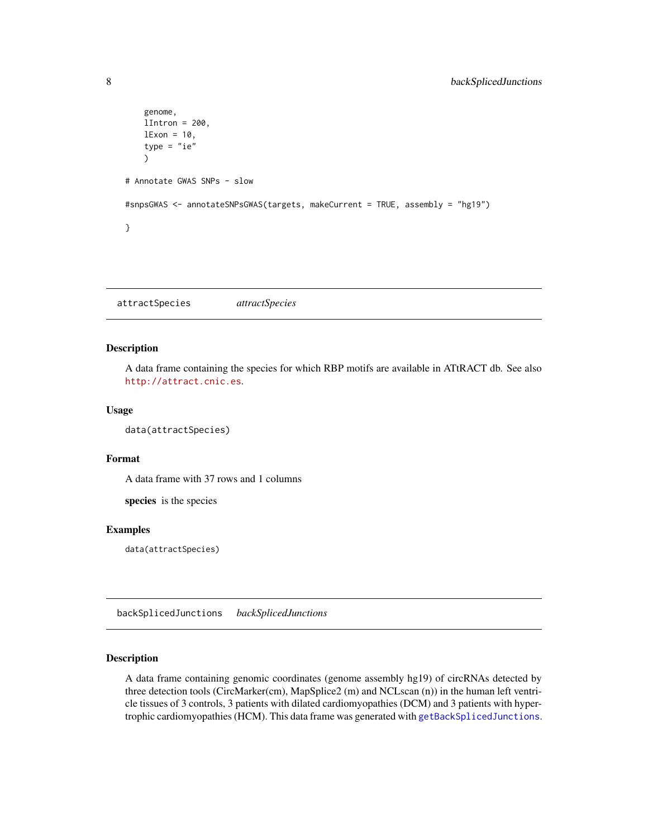```
genome,
    lIntron = 200,
    lExon = 10,
    type = "ie"\lambda# Annotate GWAS SNPs - slow
#snpsGWAS <- annotateSNPsGWAS(targets, makeCurrent = TRUE, assembly = "hg19")
}
```
attractSpecies *attractSpecies*

### Description

A data frame containing the species for which RBP motifs are available in ATtRACT db. See also <http://attract.cnic.es>.

#### Usage

```
data(attractSpecies)
```
### Format

A data frame with 37 rows and 1 columns

species is the species

#### Examples

data(attractSpecies)

<span id="page-7-1"></span>backSplicedJunctions *backSplicedJunctions*

### Description

A data frame containing genomic coordinates (genome assembly hg19) of circRNAs detected by three detection tools (CircMarker(cm), MapSplice2 (m) and NCLscan (n)) in the human left ventricle tissues of 3 controls, 3 patients with dilated cardiomyopathies (DCM) and 3 patients with hypertrophic cardiomyopathies (HCM). This data frame was generated with [getBackSplicedJunctions](#page-12-1).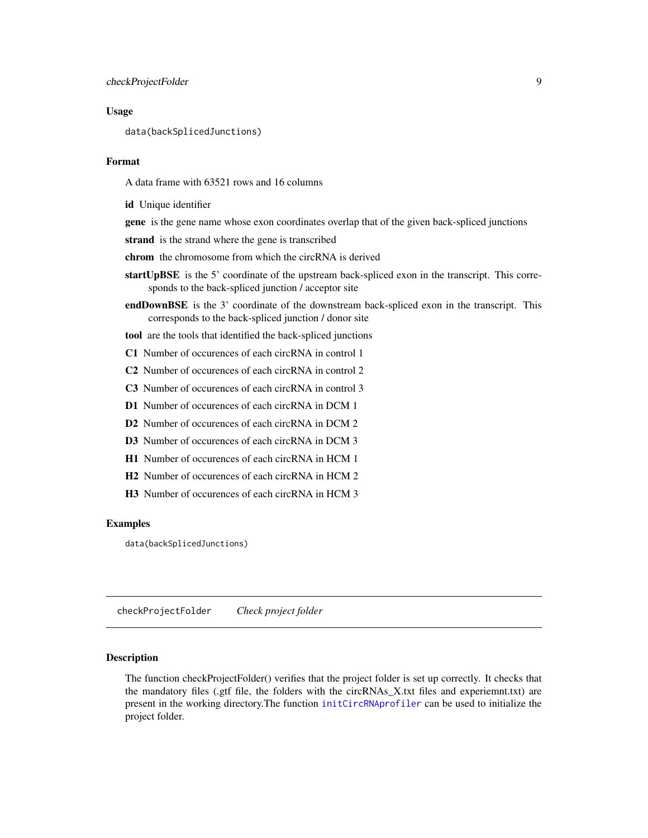#### <span id="page-8-0"></span>Usage

data(backSplicedJunctions)

#### Format

A data frame with 63521 rows and 16 columns

id Unique identifier

gene is the gene name whose exon coordinates overlap that of the given back-spliced junctions

strand is the strand where the gene is transcribed

chrom the chromosome from which the circRNA is derived

- startUpBSE is the 5' coordinate of the upstream back-spliced exon in the transcript. This corresponds to the back-spliced junction / acceptor site
- endDownBSE is the 3' coordinate of the downstream back-spliced exon in the transcript. This corresponds to the back-spliced junction / donor site

tool are the tools that identified the back-spliced junctions

- C1 Number of occurences of each circRNA in control 1
- C2 Number of occurences of each circRNA in control 2
- C3 Number of occurences of each circRNA in control 3
- D1 Number of occurences of each circRNA in DCM 1
- D2 Number of occurences of each circRNA in DCM 2
- D3 Number of occurences of each circRNA in DCM 3
- H1 Number of occurences of each circRNA in HCM 1
- H2 Number of occurences of each circRNA in HCM 2
- H3 Number of occurences of each circRNA in HCM 3

#### Examples

data(backSplicedJunctions)

checkProjectFolder *Check project folder*

#### Description

The function checkProjectFolder() verifies that the project folder is set up correctly. It checks that the mandatory files (.gtf file, the folders with the circRNAs\_X.txt files and experiemnt.txt) are present in the working directory.The function [initCircRNAprofiler](#page-27-1) can be used to initialize the project folder.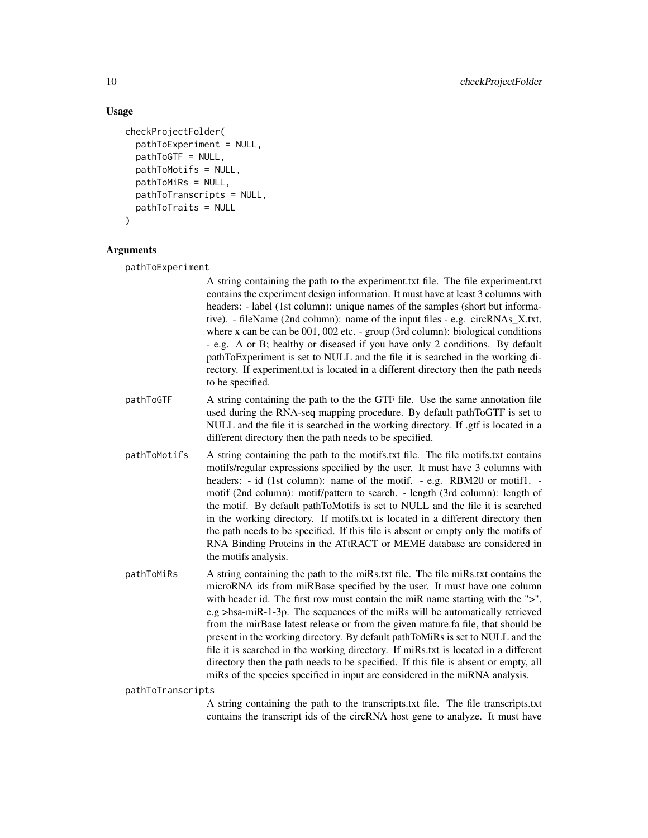### Usage

```
checkProjectFolder(
  pathToExperiment = NULL,
  pathToGTF = NULL,
  pathToMotifs = NULL,
  pathToMiRs = NULL,
  pathToTranscripts = NULL,
  pathToTraits = NULL
)
```
#### Arguments

pathToExperiment

A string containing the path to the experiment.txt file. The file experiment.txt contains the experiment design information. It must have at least 3 columns with headers: - label (1st column): unique names of the samples (short but informative). - fileName (2nd column): name of the input files - e.g. circRNAs\_X.txt, where x can be can be 001, 002 etc. - group (3rd column): biological conditions - e.g. A or B; healthy or diseased if you have only 2 conditions. By default pathToExperiment is set to NULL and the file it is searched in the working directory. If experiment.txt is located in a different directory then the path needs to be specified.

- pathToGTF A string containing the path to the the GTF file. Use the same annotation file used during the RNA-seq mapping procedure. By default pathToGTF is set to NULL and the file it is searched in the working directory. If .gtf is located in a different directory then the path needs to be specified.
- pathToMotifs A string containing the path to the motifs.txt file. The file motifs.txt contains motifs/regular expressions specified by the user. It must have 3 columns with headers: - id (1st column): name of the motif. - e.g. RBM20 or motif1. motif (2nd column): motif/pattern to search. - length (3rd column): length of the motif. By default pathToMotifs is set to NULL and the file it is searched in the working directory. If motifs.txt is located in a different directory then the path needs to be specified. If this file is absent or empty only the motifs of RNA Binding Proteins in the ATtRACT or MEME database are considered in the motifs analysis.
- pathToMiRs A string containing the path to the miRs.txt file. The file miRs.txt contains the microRNA ids from miRBase specified by the user. It must have one column with header id. The first row must contain the miR name starting with the ">", e.g >hsa-miR-1-3p. The sequences of the miRs will be automatically retrieved from the mirBase latest release or from the given mature.fa file, that should be present in the working directory. By default pathToMiRs is set to NULL and the file it is searched in the working directory. If miRs.txt is located in a different directory then the path needs to be specified. If this file is absent or empty, all miRs of the species specified in input are considered in the miRNA analysis.

#### pathToTranscripts

A string containing the path to the transcripts.txt file. The file transcripts.txt contains the transcript ids of the circRNA host gene to analyze. It must have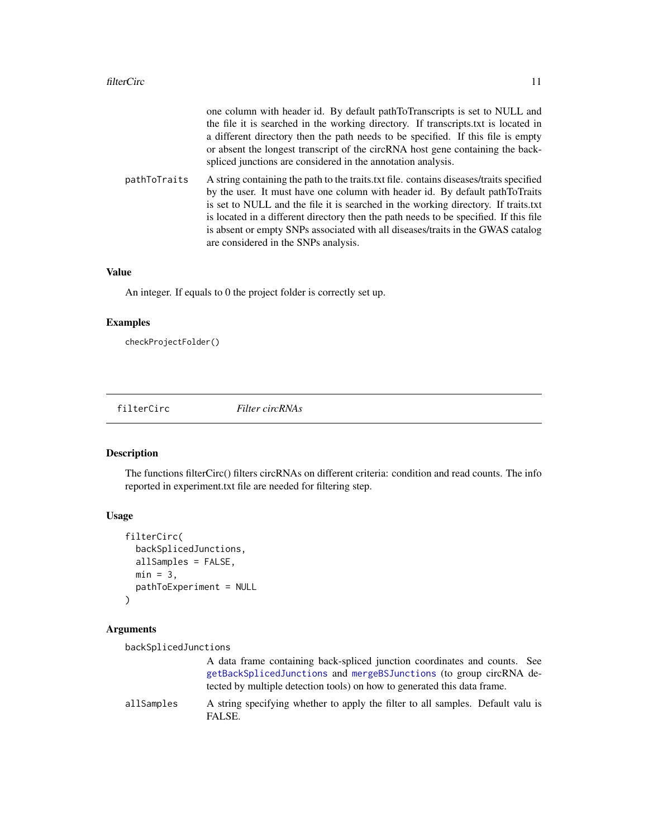<span id="page-10-0"></span>

|              | one column with header id. By default pathToTranscripts is set to NULL and<br>the file it is searched in the working directory. If transcripts txt is located in<br>a different directory then the path needs to be specified. If this file is empty<br>or absent the longest transcript of the circRNA host gene containing the back-<br>spliced junctions are considered in the annotation analysis.                                                                            |
|--------------|-----------------------------------------------------------------------------------------------------------------------------------------------------------------------------------------------------------------------------------------------------------------------------------------------------------------------------------------------------------------------------------------------------------------------------------------------------------------------------------|
| pathToTraits | A string containing the path to the traits txt file. contains diseases/traits specified<br>by the user. It must have one column with header id. By default pathToTraits<br>is set to NULL and the file it is searched in the working directory. If traits txt<br>is located in a different directory then the path needs to be specified. If this file<br>is absent or empty SNPs associated with all diseases/traits in the GWAS catalog<br>are considered in the SNPs analysis. |

### Value

An integer. If equals to 0 the project folder is correctly set up.

### Examples

checkProjectFolder()

filterCirc *Filter circRNAs*

### Description

The functions filterCirc() filters circRNAs on different criteria: condition and read counts. The info reported in experiment.txt file are needed for filtering step.

#### Usage

```
filterCirc(
  backSplicedJunctions,
  allSamples = FALSE,
  min = 3,
  pathToExperiment = NULL
\mathcal{L}
```
### Arguments

```
backSplicedJunctions
                 A data frame containing back-spliced junction coordinates and counts. See
                 getBackSplicedJunctions and mergeBSJunctions (to group circRNA de-
                 tected by multiple detection tools) on how to generated this data frame.
allSamples A string specifying whether to apply the filter to all samples. Default valu is
                 FALSE.
```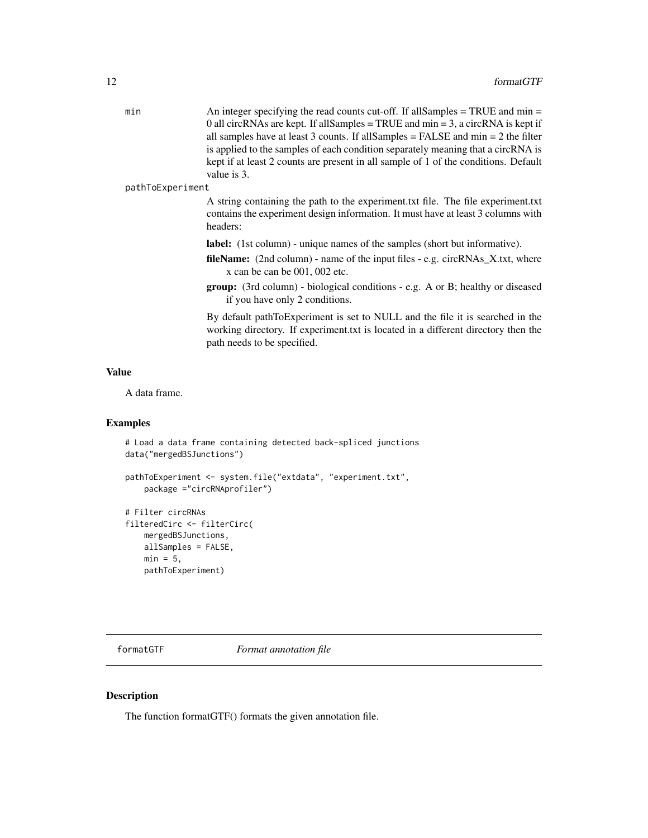<span id="page-11-0"></span>

| min | An integer specifying the read counts cut-off. If all Samples $=$ TRUE and min $=$    |
|-----|---------------------------------------------------------------------------------------|
|     | 0 all circRNAs are kept. If all Samples $=$ TRUE and min $=$ 3, a circRNA is kept if  |
|     | all samples have at least 3 counts. If all Samples $=$ FALSE and min $=$ 2 the filter |
|     | is applied to the samples of each condition separately meaning that a circRNA is      |
|     | kept if at least 2 counts are present in all sample of 1 of the conditions. Default   |
|     | value is 3.                                                                           |

#### pathToExperiment

A string containing the path to the experiment.txt file. The file experiment.txt contains the experiment design information. It must have at least 3 columns with headers:

- label: (1st column) unique names of the samples (short but informative).
- fileName: (2nd column) name of the input files e.g. circRNAs\_X.txt, where x can be can be 001, 002 etc.
- group: (3rd column) biological conditions e.g. A or B; healthy or diseased if you have only 2 conditions.

By default pathToExperiment is set to NULL and the file it is searched in the working directory. If experiment.txt is located in a different directory then the path needs to be specified.

### Value

A data frame.

#### Examples

```
# Load a data frame containing detected back-spliced junctions
data("mergedBSJunctions")
```

```
pathToExperiment <- system.file("extdata", "experiment.txt",
   package ="circRNAprofiler")
```

```
# Filter circRNAs
filteredCirc <- filterCirc(
   mergedBSJunctions,
   allSamples = FALSE,
   min = 5,
   pathToExperiment)
```
<span id="page-11-1"></span>formatGTF *Format annotation file*

### Description

The function formatGTF() formats the given annotation file.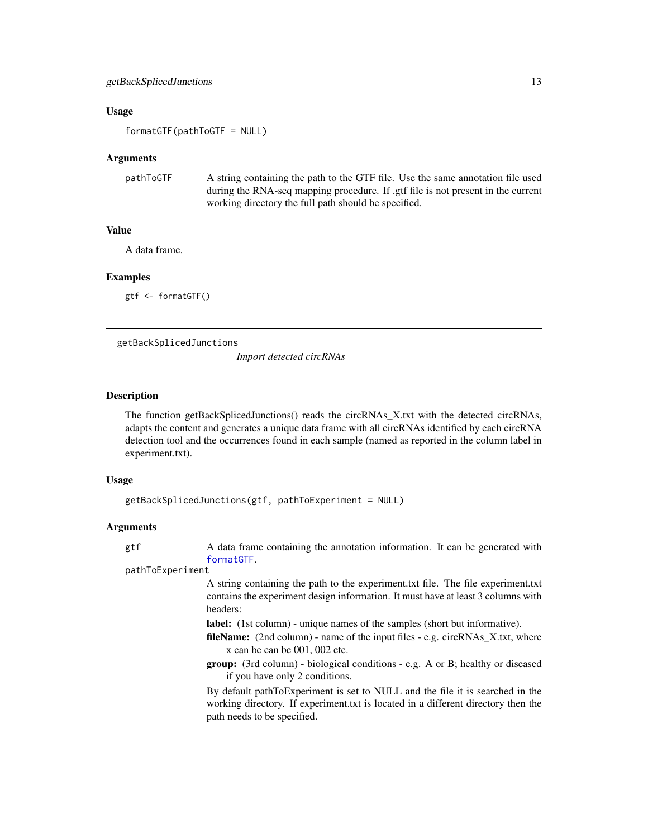#### <span id="page-12-0"></span>Usage

formatGTF(pathToGTF = NULL)

#### Arguments

```
pathToGTF A string containing the path to the GTF file. Use the same annotation file used
                  during the RNA-seq mapping procedure. If .gtf file is not present in the current
                  working directory the full path should be specified.
```
### Value

A data frame.

#### Examples

gtf <- formatGTF()

<span id="page-12-1"></span>getBackSplicedJunctions

*Import detected circRNAs*

#### Description

The function getBackSplicedJunctions() reads the circRNAs\_X.txt with the detected circRNAs, adapts the content and generates a unique data frame with all circRNAs identified by each circRNA detection tool and the occurrences found in each sample (named as reported in the column label in experiment.txt).

#### Usage

```
getBackSplicedJunctions(gtf, pathToExperiment = NULL)
```
#### Arguments

gtf A data frame containing the annotation information. It can be generated with [formatGTF](#page-11-1).

pathToExperiment

A string containing the path to the experiment.txt file. The file experiment.txt contains the experiment design information. It must have at least 3 columns with headers:

label: (1st column) - unique names of the samples (short but informative).

- fileName: (2nd column) name of the input files e.g. circRNAs X.txt, where x can be can be 001, 002 etc.
- group: (3rd column) biological conditions e.g. A or B; healthy or diseased if you have only 2 conditions.

By default pathToExperiment is set to NULL and the file it is searched in the working directory. If experiment.txt is located in a different directory then the path needs to be specified.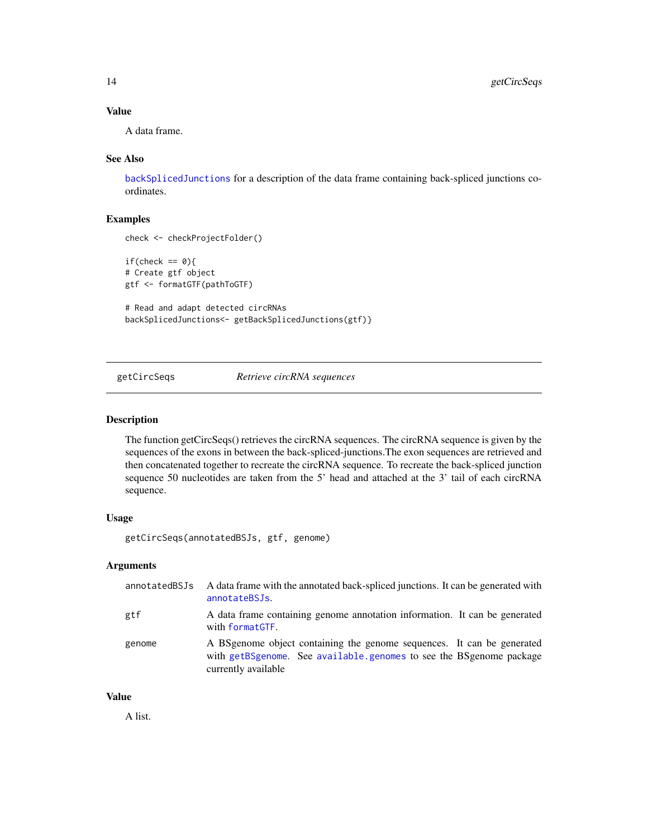### Value

A data frame.

#### See Also

[backSplicedJunctions](#page-7-1) for a description of the data frame containing back-spliced junctions coordinates.

### Examples

```
check <- checkProjectFolder()
if(check == 0)# Create gtf object
gtf <- formatGTF(pathToGTF)
# Read and adapt detected circRNAs
```
backSplicedJunctions<- getBackSplicedJunctions(gtf)}

<span id="page-13-1"></span>getCircSeqs *Retrieve circRNA sequences*

### Description

The function getCircSeqs() retrieves the circRNA sequences. The circRNA sequence is given by the sequences of the exons in between the back-spliced-junctions.The exon sequences are retrieved and then concatenated together to recreate the circRNA sequence. To recreate the back-spliced junction sequence 50 nucleotides are taken from the 5' head and attached at the 3' tail of each circRNA sequence.

### Usage

```
getCircSeqs(annotatedBSJs, gtf, genome)
```
### Arguments

| annotatedBSJs | A data frame with the annotated back-spliced junctions. It can be generated with<br>annotateBSJs.                                                                    |
|---------------|----------------------------------------------------------------------------------------------------------------------------------------------------------------------|
| gtf           | A data frame containing genome annotation information. It can be generated<br>with formatGTF.                                                                        |
| genome        | A BSgenome object containing the genome sequences. It can be generated<br>with getBSgenome. See available genomes to see the BSgenome package<br>currently available |

### Value

A list.

<span id="page-13-0"></span>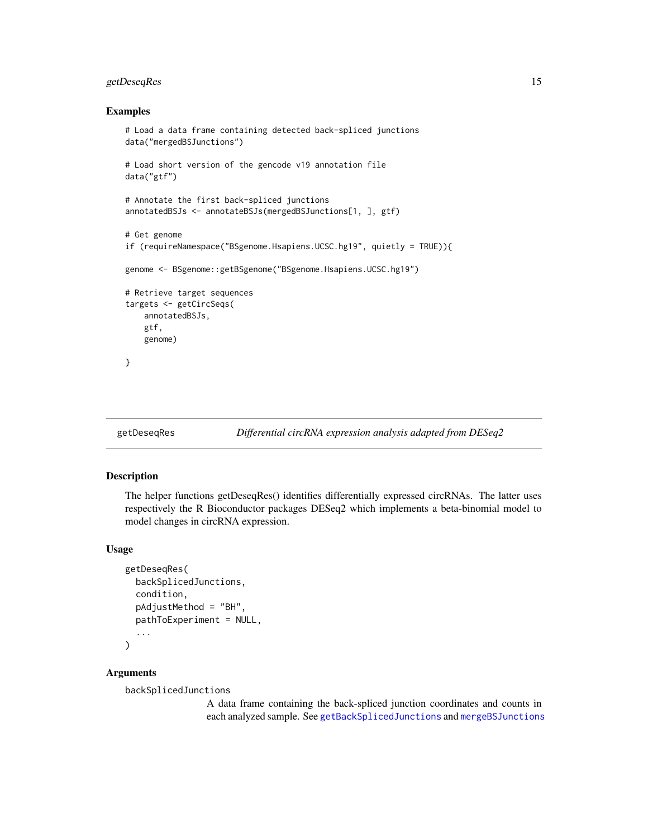### <span id="page-14-0"></span>getDeseqRes 15

#### Examples

```
# Load a data frame containing detected back-spliced junctions
data("mergedBSJunctions")
# Load short version of the gencode v19 annotation file
data("gtf")
# Annotate the first back-spliced junctions
annotatedBSJs <- annotateBSJs(mergedBSJunctions[1, ], gtf)
# Get genome
if (requireNamespace("BSgenome.Hsapiens.UCSC.hg19", quietly = TRUE)){
genome <- BSgenome::getBSgenome("BSgenome.Hsapiens.UCSC.hg19")
# Retrieve target sequences
targets <- getCircSeqs(
   annotatedBSJs,
   gtf,
   genome)
}
```
<span id="page-14-1"></span>

### getDeseqRes *Differential circRNA expression analysis adapted from DESeq2*

#### Description

The helper functions getDeseqRes() identifies differentially expressed circRNAs. The latter uses respectively the R Bioconductor packages DESeq2 which implements a beta-binomial model to model changes in circRNA expression.

#### Usage

```
getDeseqRes(
 backSplicedJunctions,
  condition,
 pAdjustMethod = "BH",
 pathToExperiment = NULL,
  ...
)
```
#### Arguments

backSplicedJunctions

A data frame containing the back-spliced junction coordinates and counts in each analyzed sample. See [getBackSplicedJunctions](#page-12-1) and [mergeBSJunctions](#page-30-1)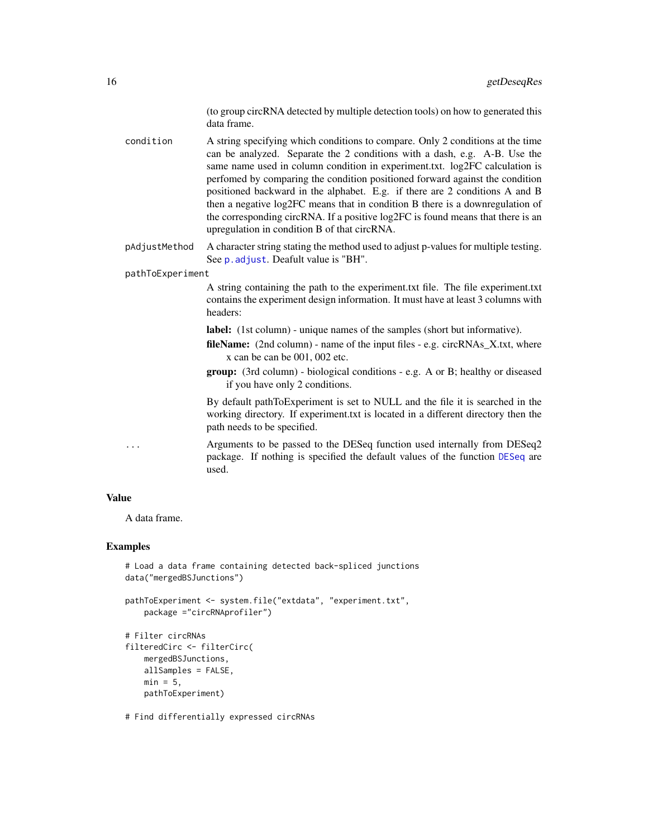(to group circRNA detected by multiple detection tools) on how to generated this data frame.

<span id="page-15-0"></span>condition A string specifying which conditions to compare. Only 2 conditions at the time can be analyzed. Separate the 2 conditions with a dash, e.g. A-B. Use the same name used in column condition in experiment.txt. log2FC calculation is perfomed by comparing the condition positioned forward against the condition positioned backward in the alphabet. E.g. if there are 2 conditions A and B then a negative log2FC means that in condition B there is a downregulation of the corresponding circRNA. If a positive log2FC is found means that there is an upregulation in condition B of that circRNA.

pAdjustMethod A character string stating the method used to adjust p-values for multiple testing. See **p**. adjust. Deafult value is "BH".

pathToExperiment

A string containing the path to the experiment.txt file. The file experiment.txt contains the experiment design information. It must have at least 3 columns with headers:

label: (1st column) - unique names of the samples (short but informative).

fileName: (2nd column) - name of the input files - e.g. circRNAs\_X.txt, where x can be can be 001, 002 etc.

group: (3rd column) - biological conditions - e.g. A or B; healthy or diseased if you have only 2 conditions.

By default pathToExperiment is set to NULL and the file it is searched in the working directory. If experiment.txt is located in a different directory then the path needs to be specified.

... Arguments to be passed to the DESeq function used internally from DESeq2 package. If nothing is specified the default values of the function [DESeq](#page-0-0) are used.

#### Value

A data frame.

#### Examples

```
# Load a data frame containing detected back-spliced junctions
data("mergedBSJunctions")
```

```
pathToExperiment <- system.file("extdata", "experiment.txt",
   package ="circRNAprofiler")
```

```
# Filter circRNAs
filteredCirc <- filterCirc(
   mergedBSJunctions,
    allSamples = FALSE,
   min = 5,
   pathToExperiment)
```
# Find differentially expressed circRNAs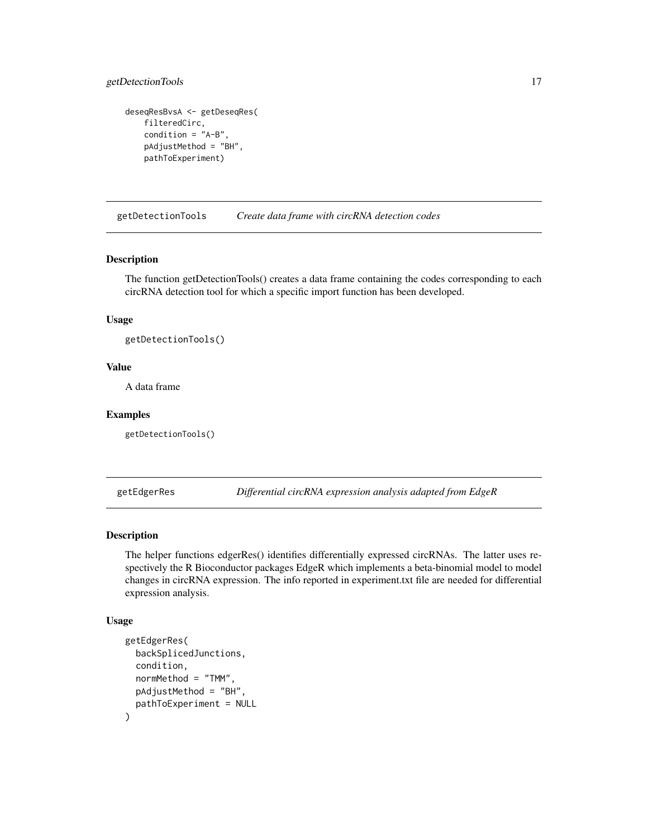### <span id="page-16-0"></span>getDetectionTools 17

```
deseqResBvsA <- getDeseqRes(
    filteredCirc,
    condition = "A-B",
   pAdjustMethod = "BH",
   pathToExperiment)
```
<span id="page-16-1"></span>getDetectionTools *Create data frame with circRNA detection codes*

#### Description

The function getDetectionTools() creates a data frame containing the codes corresponding to each circRNA detection tool for which a specific import function has been developed.

### Usage

getDetectionTools()

### Value

A data frame

#### Examples

getDetectionTools()

<span id="page-16-2"></span>getEdgerRes *Differential circRNA expression analysis adapted from EdgeR*

#### Description

The helper functions edgerRes() identifies differentially expressed circRNAs. The latter uses respectively the R Bioconductor packages EdgeR which implements a beta-binomial model to model changes in circRNA expression. The info reported in experiment.txt file are needed for differential expression analysis.

#### Usage

```
getEdgerRes(
  backSplicedJunctions,
  condition,
  normMethod = "TMM",
 pAdjustMethod = "BH",
 pathToExperiment = NULL
)
```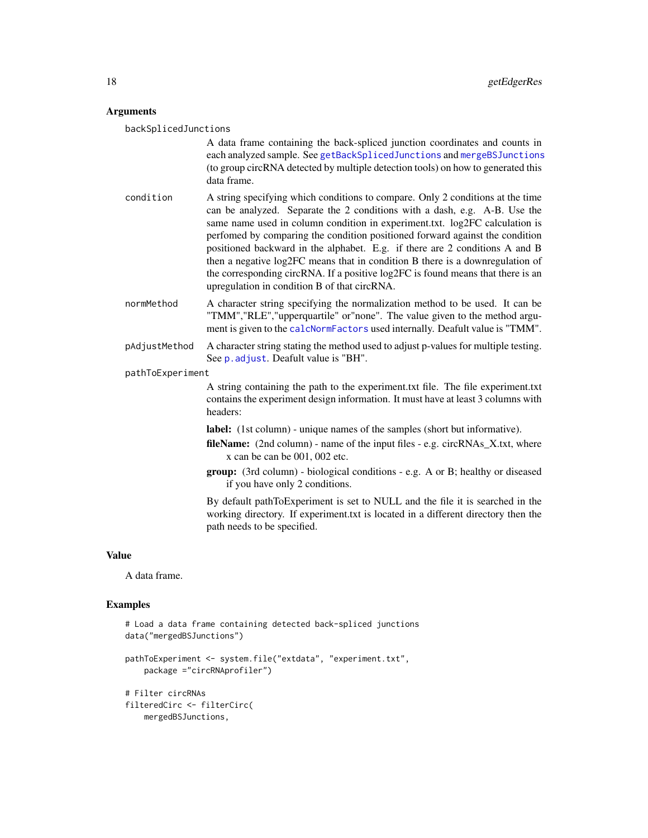### <span id="page-17-0"></span>Arguments

| backSplicedJunctions |                                                                                                                                                                                                                                                                                                                                                                                                                                                                                                                                                                                                                               |
|----------------------|-------------------------------------------------------------------------------------------------------------------------------------------------------------------------------------------------------------------------------------------------------------------------------------------------------------------------------------------------------------------------------------------------------------------------------------------------------------------------------------------------------------------------------------------------------------------------------------------------------------------------------|
|                      | A data frame containing the back-spliced junction coordinates and counts in<br>each analyzed sample. See getBackSplicedJunctions and mergeBSJunctions<br>(to group circRNA detected by multiple detection tools) on how to generated this<br>data frame.                                                                                                                                                                                                                                                                                                                                                                      |
| condition            | A string specifying which conditions to compare. Only 2 conditions at the time<br>can be analyzed. Separate the 2 conditions with a dash, e.g. A-B. Use the<br>same name used in column condition in experiment.txt. log2FC calculation is<br>perfomed by comparing the condition positioned forward against the condition<br>positioned backward in the alphabet. E.g. if there are 2 conditions A and B<br>then a negative log2FC means that in condition B there is a downregulation of<br>the corresponding circRNA. If a positive log2FC is found means that there is an<br>upregulation in condition B of that circRNA. |
| normMethod           | A character string specifying the normalization method to be used. It can be<br>"TMM","RLE","upperquartile" or"none". The value given to the method argu-<br>ment is given to the calcNormFactors used internally. Deafult value is "TMM".                                                                                                                                                                                                                                                                                                                                                                                    |
| pAdjustMethod        | A character string stating the method used to adjust p-values for multiple testing.<br>See p. adjust. Deafult value is "BH".                                                                                                                                                                                                                                                                                                                                                                                                                                                                                                  |
| pathToExperiment     |                                                                                                                                                                                                                                                                                                                                                                                                                                                                                                                                                                                                                               |
|                      | A string containing the path to the experiment.txt file. The file experiment.txt<br>contains the experiment design information. It must have at least 3 columns with<br>headers:                                                                                                                                                                                                                                                                                                                                                                                                                                              |
|                      | label: (1st column) - unique names of the samples (short but informative).<br><b>fileName:</b> (2nd column) - name of the input files - e.g. circRNAs_X.txt, where<br>x can be can be 001, 002 etc.                                                                                                                                                                                                                                                                                                                                                                                                                           |
|                      | group: (3rd column) - biological conditions - e.g. A or B; healthy or diseased<br>if you have only 2 conditions.                                                                                                                                                                                                                                                                                                                                                                                                                                                                                                              |
|                      | By default pathToExperiment is set to NULL and the file it is searched in the<br>working directory. If experiment txt is located in a different directory then the<br>path needs to be specified.                                                                                                                                                                                                                                                                                                                                                                                                                             |
|                      |                                                                                                                                                                                                                                                                                                                                                                                                                                                                                                                                                                                                                               |

### Value

A data frame.

### Examples

```
# Load a data frame containing detected back-spliced junctions
data("mergedBSJunctions")
pathToExperiment <- system.file("extdata", "experiment.txt",
   package ="circRNAprofiler")
# Filter circRNAs
filteredCirc <- filterCirc(
   mergedBSJunctions,
```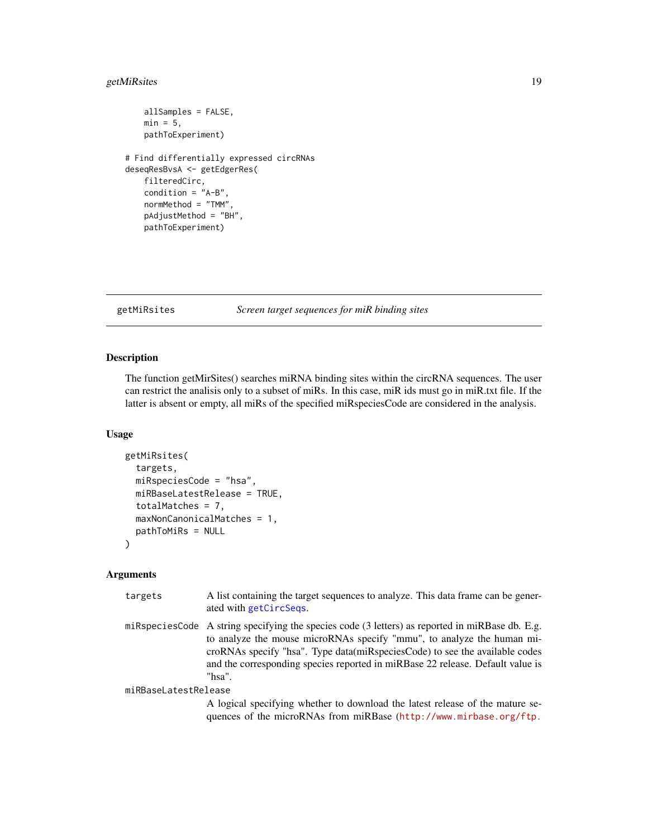### <span id="page-18-0"></span>getMiRsites 19

```
allSamples = FALSE,
   min = 5,
   pathToExperiment)
# Find differentially expressed circRNAs
deseqResBvsA <- getEdgerRes(
   filteredCirc,
   condition = "A-B",
   normMethod = "TMM",
   pAdjustMethod = "BH",
   pathToExperiment)
```
<span id="page-18-1"></span>getMiRsites *Screen target sequences for miR binding sites*

#### Description

The function getMirSites() searches miRNA binding sites within the circRNA sequences. The user can restrict the analisis only to a subset of miRs. In this case, miR ids must go in miR.txt file. If the latter is absent or empty, all miRs of the specified miRspeciesCode are considered in the analysis.

### Usage

```
getMiRsites(
  targets,
  miRspeciesCode = "hsa",
 miRBaseLatestRelease = TRUE,
  totalMatches = 7,
  maxNonCanonicalMatches = 1,
  pathToMiRs = NULL
)
```
#### Arguments

| targets              | A list containing the target sequences to analyze. This data frame can be gener-<br>ated with getCircSeqs.                                                                                                                                                                                                                                            |
|----------------------|-------------------------------------------------------------------------------------------------------------------------------------------------------------------------------------------------------------------------------------------------------------------------------------------------------------------------------------------------------|
|                      | miRspeciesCode A string specifying the species code (3 letters) as reported in miRBase db. E.g.<br>to analyze the mouse microRNAs specify "mmu", to analyze the human mi-<br>croRNAs specify "hsa". Type data (miRspeciesCode) to see the available codes<br>and the corresponding species reported in miRBase 22 release. Default value is<br>"hsa". |
| miRBaseLatestRelease |                                                                                                                                                                                                                                                                                                                                                       |
|                      | A logical specifying whether to download the latest release of the mature se-<br>quences of the microRNAs from miRBase (http://www.mirbase.org/ftp.                                                                                                                                                                                                   |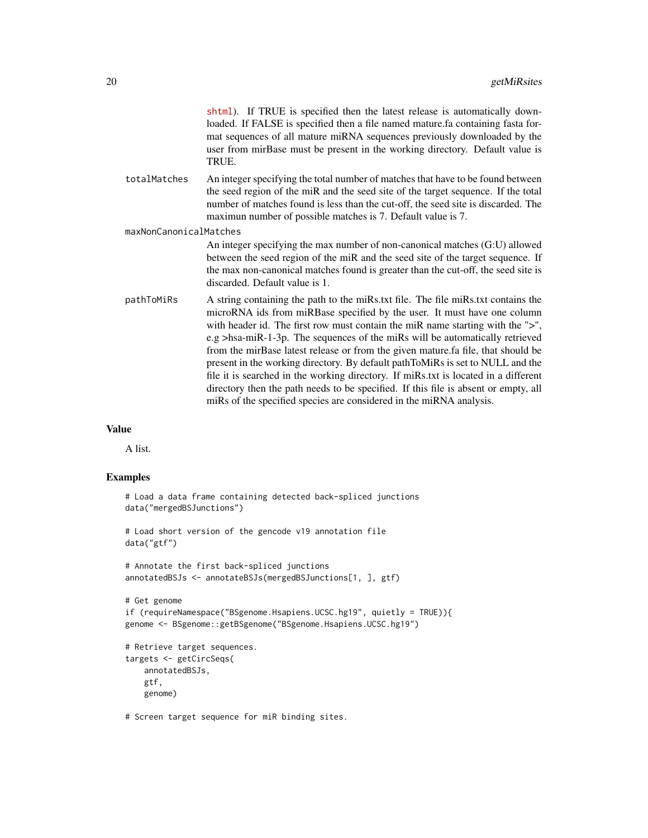| shtml). If TRUE is specified then the latest release is automatically down-     |
|---------------------------------------------------------------------------------|
| loaded. If FALSE is specified then a file named mature fa containing fasta for- |
| mat sequences of all mature miRNA sequences previously downloaded by the        |
| user from mirBase must be present in the working directory. Default value is    |
| TRUE.                                                                           |

totalMatches An integer specifying the total number of matches that have to be found between the seed region of the miR and the seed site of the target sequence. If the total number of matches found is less than the cut-off, the seed site is discarded. The maximun number of possible matches is 7. Default value is 7.

maxNonCanonicalMatches

An integer specifying the max number of non-canonical matches (G:U) allowed between the seed region of the miR and the seed site of the target sequence. If the max non-canonical matches found is greater than the cut-off, the seed site is discarded. Default value is 1.

pathToMiRs A string containing the path to the miRs.txt file. The file miRs.txt contains the microRNA ids from miRBase specified by the user. It must have one column with header id. The first row must contain the miR name starting with the ">", e.g >hsa-miR-1-3p. The sequences of the miRs will be automatically retrieved from the mirBase latest release or from the given mature.fa file, that should be present in the working directory. By default pathToMiRs is set to NULL and the file it is searched in the working directory. If miRs.txt is located in a different directory then the path needs to be specified. If this file is absent or empty, all miRs of the specified species are considered in the miRNA analysis.

#### Value

A list.

### Examples

```
# Load a data frame containing detected back-spliced junctions
data("mergedBSJunctions")
# Load short version of the gencode v19 annotation file
data("gtf")
# Annotate the first back-spliced junctions
annotatedBSJs <- annotateBSJs(mergedBSJunctions[1, ], gtf)
# Get genome
if (requireNamespace("BSgenome.Hsapiens.UCSC.hg19", quietly = TRUE)){
genome <- BSgenome::getBSgenome("BSgenome.Hsapiens.UCSC.hg19")
# Retrieve target sequences.
targets <- getCircSeqs(
   annotatedBSJs,
   gtf,
   genome)
```
# Screen target sequence for miR binding sites.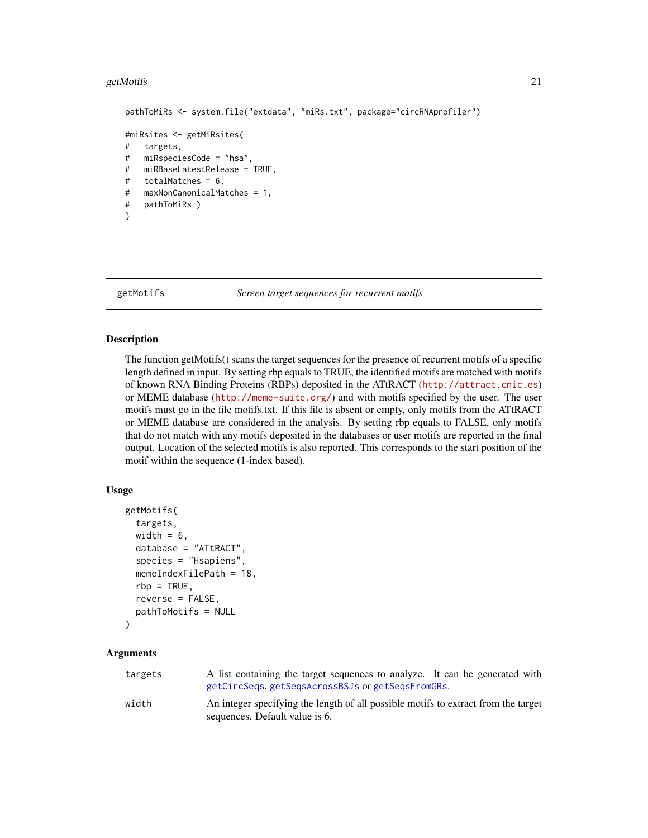#### <span id="page-20-0"></span>getMotifs 21

```
pathToMiRs <- system.file("extdata", "miRs.txt", package="circRNAprofiler")
#miRsites <- getMiRsites(
# targets,
# miRspeciesCode = "hsa",
# miRBaseLatestRelease = TRUE,
# totalMatches = 6,
# maxNonCanonicalMatches = 1,
# pathToMiRs )
}
```
<span id="page-20-1"></span>

getMotifs *Screen target sequences for recurrent motifs*

#### Description

The function getMotifs() scans the target sequences for the presence of recurrent motifs of a specific length defined in input. By setting rbp equals to TRUE, the identified motifs are matched with motifs of known RNA Binding Proteins (RBPs) deposited in the ATtRACT (<http://attract.cnic.es>) or MEME database (<http://meme-suite.org/>) and with motifs specified by the user. The user motifs must go in the file motifs.txt. If this file is absent or empty, only motifs from the ATtRACT or MEME database are considered in the analysis. By setting rbp equals to FALSE, only motifs that do not match with any motifs deposited in the databases or user motifs are reported in the final output. Location of the selected motifs is also reported. This corresponds to the start position of the motif within the sequence (1-index based).

#### Usage

```
getMotifs(
  targets,
  width = 6,
  database = "ATtRACT",
  species = "Hsapiens",
 memeIndexFilePath = 18,
  rbp = TRUE,reverse = FALSE,
 pathToMotifs = NULL
```

```
)
```
### Arguments

| targets | A list containing the target sequences to analyze. It can be generated with<br>getCircSegs, getSegsAcrossBSJs or getSegsFromGRs. |
|---------|----------------------------------------------------------------------------------------------------------------------------------|
| width   | An integer specifying the length of all possible motifs to extract from the target<br>sequences. Default value is 6.             |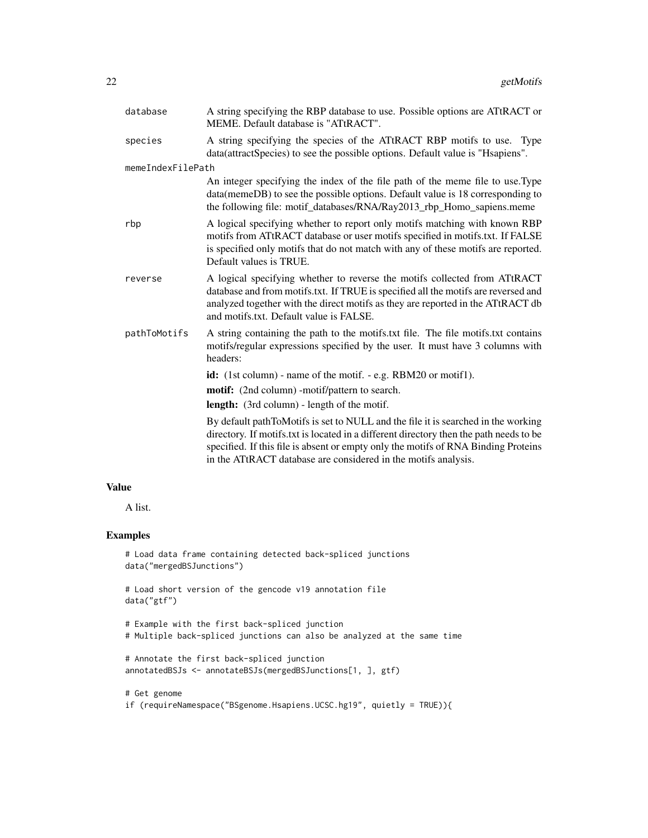| database          | A string specifying the RBP database to use. Possible options are ATtRACT or<br>MEME. Default database is "ATtRACT".                                                                                                                                                                                                                |
|-------------------|-------------------------------------------------------------------------------------------------------------------------------------------------------------------------------------------------------------------------------------------------------------------------------------------------------------------------------------|
| species           | A string specifying the species of the ATtRACT RBP motifs to use. Type<br>data(attractSpecies) to see the possible options. Default value is "Hsapiens".                                                                                                                                                                            |
| memeIndexFilePath |                                                                                                                                                                                                                                                                                                                                     |
|                   | An integer specifying the index of the file path of the meme file to use. Type<br>data(memeDB) to see the possible options. Default value is 18 corresponding to<br>the following file: motif_databases/RNA/Ray2013_rbp_Homo_sapiens.meme                                                                                           |
| rbp               | A logical specifying whether to report only motifs matching with known RBP<br>motifs from ATtRACT database or user motifs specified in motifs.txt. If FALSE<br>is specified only motifs that do not match with any of these motifs are reported.<br>Default values is TRUE.                                                         |
| reverse           | A logical specifying whether to reverse the motifs collected from ATtRACT<br>database and from motifs.txt. If TRUE is specified all the motifs are reversed and<br>analyzed together with the direct motifs as they are reported in the ATtRACT db<br>and motifs.txt. Default value is FALSE.                                       |
| pathToMotifs      | A string containing the path to the motifs.txt file. The file motifs.txt contains<br>motifs/regular expressions specified by the user. It must have 3 columns with<br>headers:                                                                                                                                                      |
|                   | id: (1st column) - name of the motif. - e.g. RBM20 or motif1).                                                                                                                                                                                                                                                                      |
|                   | <b>motif:</b> (2nd column) -motif/pattern to search.                                                                                                                                                                                                                                                                                |
|                   | <b>length:</b> (3rd column) - length of the motif.                                                                                                                                                                                                                                                                                  |
|                   | By default pathToMotifs is set to NULL and the file it is searched in the working<br>directory. If motifs.txt is located in a different directory then the path needs to be<br>specified. If this file is absent or empty only the motifs of RNA Binding Proteins<br>in the ATtRACT database are considered in the motifs analysis. |

### Value

A list.

### Examples

```
# Load data frame containing detected back-spliced junctions
data("mergedBSJunctions")
# Load short version of the gencode v19 annotation file
data("gtf")
```

```
# Example with the first back-spliced junction
# Multiple back-spliced junctions can also be analyzed at the same time
```

```
# Annotate the first back-spliced junction
annotatedBSJs <- annotateBSJs(mergedBSJunctions[1, ], gtf)
```

```
# Get genome
if (requireNamespace("BSgenome.Hsapiens.UCSC.hg19", quietly = TRUE)){
```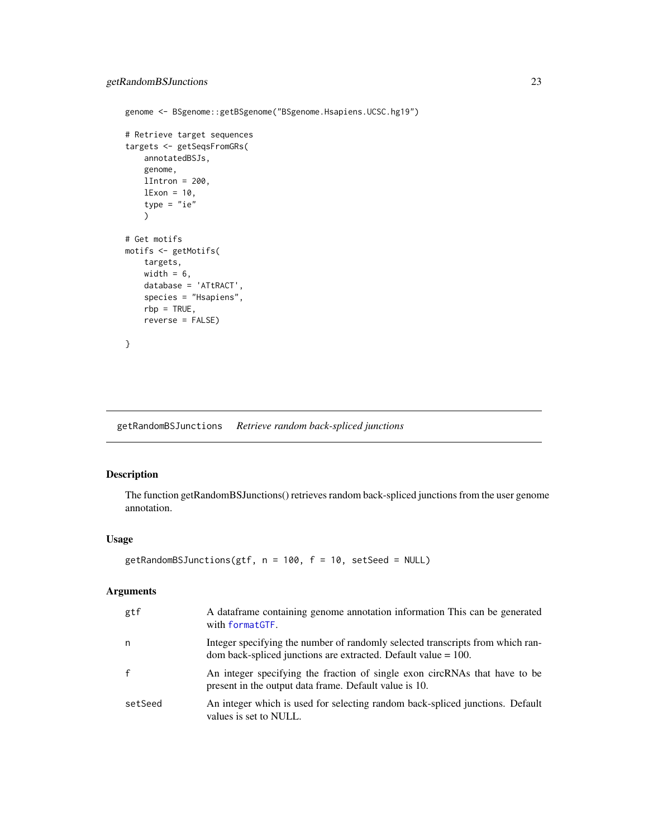```
genome <- BSgenome::getBSgenome("BSgenome.Hsapiens.UCSC.hg19")
# Retrieve target sequences
targets <- getSeqsFromGRs(
   annotatedBSJs,
   genome,
   lIntron = 200,
   lExon = 10,
   type = "ie")
# Get motifs
motifs <- getMotifs(
   targets,
   width = 6,
   database = 'ATtRACT',
   species = "Hsapiens",
   rbp = TRUE,reverse = FALSE)
}
```
<span id="page-22-1"></span>getRandomBSJunctions *Retrieve random back-spliced junctions*

## Description

The function getRandomBSJunctions() retrieves random back-spliced junctions from the user genome annotation.

#### Usage

```
getRandomBSJunctions(gtf, n = 100, f = 10, setSeed = NULL)
```
### Arguments

| gtf          | A dataframe containing genome annotation information This can be generated<br>with formatGTF.                                                       |
|--------------|-----------------------------------------------------------------------------------------------------------------------------------------------------|
| n.           | Integer specifying the number of randomly selected transcripts from which ran-<br>dom back-spliced junctions are extracted. Default value $= 100$ . |
| $\mathbf{f}$ | An integer specifying the fraction of single exon circRNAs that have to be<br>present in the output data frame. Default value is 10.                |
| setSeed      | An integer which is used for selecting random back-spliced junctions. Default<br>values is set to NULL.                                             |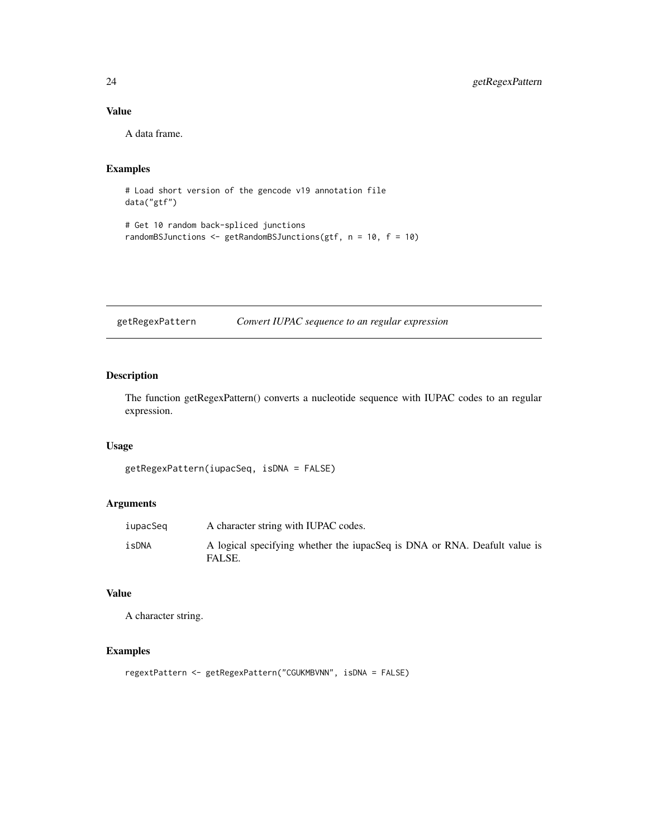### Value

A data frame.

### Examples

```
# Load short version of the gencode v19 annotation file
data("gtf")
```

```
# Get 10 random back-spliced junctions
randomBSJunctions <- getRandomBSJunctions(gtf, n = 10, f = 10)
```
getRegexPattern *Convert IUPAC sequence to an regular expression*

### Description

The function getRegexPattern() converts a nucleotide sequence with IUPAC codes to an regular expression.

### Usage

```
getRegexPattern(iupacSeq, isDNA = FALSE)
```
### Arguments

| iupacSeq | A character string with IUPAC codes.                                                |
|----------|-------------------------------------------------------------------------------------|
| isDNA    | A logical specifying whether the iupacSeq is DNA or RNA. Deafult value is<br>FALSE. |

### Value

A character string.

### Examples

```
regextPattern <- getRegexPattern("CGUKMBVNN", isDNA = FALSE)
```
<span id="page-23-0"></span>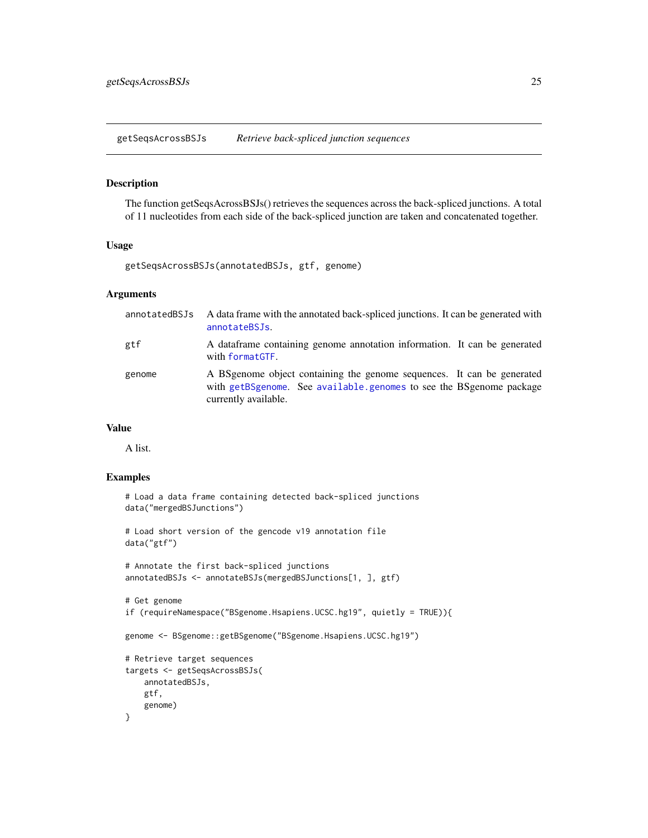<span id="page-24-1"></span><span id="page-24-0"></span>getSeqsAcrossBSJs *Retrieve back-spliced junction sequences*

#### Description

The function getSeqsAcrossBSJs() retrieves the sequences across the back-spliced junctions. A total of 11 nucleotides from each side of the back-spliced junction are taken and concatenated together.

#### Usage

getSeqsAcrossBSJs(annotatedBSJs, gtf, genome)

#### Arguments

| annotatedBSJs | A data frame with the annotated back-spliced junctions. It can be generated with<br>annotateBSJs.                                                                      |  |
|---------------|------------------------------------------------------------------------------------------------------------------------------------------------------------------------|--|
| gtf           | A dataframe containing genome annotation information. It can be generated<br>with formatGTF.                                                                           |  |
| genome        | A BS genome object containing the genome sequences. It can be generated<br>with getBSgenome. See available genomes to see the BSgenome package<br>currently available. |  |

### Value

A list.

### Examples

```
# Load a data frame containing detected back-spliced junctions
data("mergedBSJunctions")
# Load short version of the gencode v19 annotation file
data("gtf")
# Annotate the first back-spliced junctions
annotatedBSJs <- annotateBSJs(mergedBSJunctions[1, ], gtf)
# Get genome
if (requireNamespace("BSgenome.Hsapiens.UCSC.hg19", quietly = TRUE)){
genome <- BSgenome::getBSgenome("BSgenome.Hsapiens.UCSC.hg19")
# Retrieve target sequences
targets <- getSeqsAcrossBSJs(
   annotatedBSJs,
   gtf,
   genome)
}
```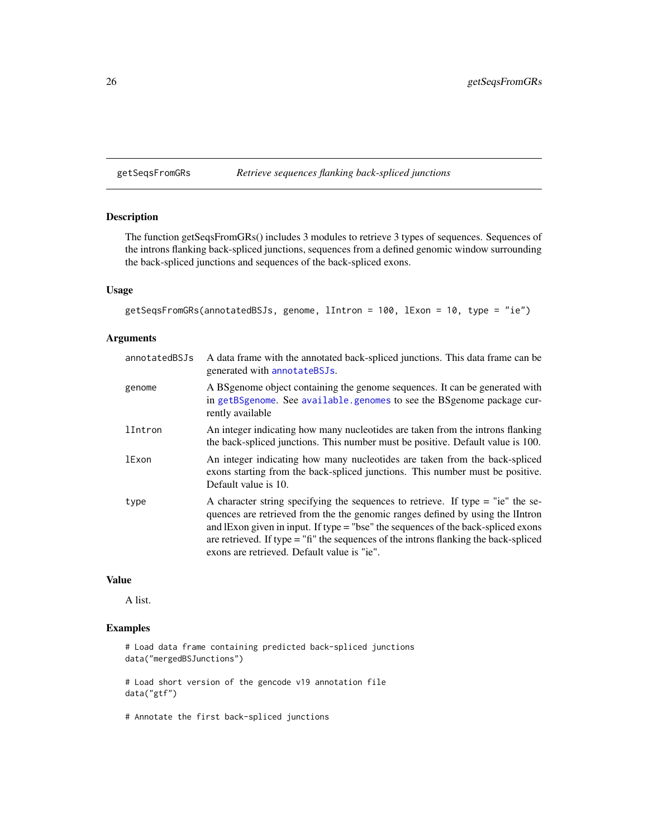```
getSeqsFromGRs Retrieve sequences flanking back-spliced junctions
```
### Description

The function getSeqsFromGRs() includes 3 modules to retrieve 3 types of sequences. Sequences of the introns flanking back-spliced junctions, sequences from a defined genomic window surrounding the back-spliced junctions and sequences of the back-spliced exons.

### Usage

```
getSeqsFromGRs(annotatedBSJs, genome, lIntron = 100, lExon = 10, type = "ie")
```
### Arguments

| annotatedBSJs | A data frame with the annotated back-spliced junctions. This data frame can be<br>generated with annotateBSJs.                                                                                                                                                                                                                                                                                    |
|---------------|---------------------------------------------------------------------------------------------------------------------------------------------------------------------------------------------------------------------------------------------------------------------------------------------------------------------------------------------------------------------------------------------------|
| genome        | A BSgenome object containing the genome sequences. It can be generated with<br>in getBSgenome. See available.genomes to see the BSgenome package cur-<br>rently available                                                                                                                                                                                                                         |
| lIntron       | An integer indicating how many nucleotides are taken from the introns flanking<br>the back-spliced junctions. This number must be positive. Default value is 100.                                                                                                                                                                                                                                 |
| <b>lExon</b>  | An integer indicating how many nucleotides are taken from the back-spliced<br>exons starting from the back-spliced junctions. This number must be positive.<br>Default value is 10.                                                                                                                                                                                                               |
| type          | A character string specifying the sequences to retrieve. If type $=$ "ie" the se-<br>quences are retrieved from the the genomic ranges defined by using the IIntron<br>and lExon given in input. If type = "bse" the sequences of the back-spliced exons<br>are retrieved. If type $=$ "fi" the sequences of the introns flanking the back-spliced<br>exons are retrieved. Default value is "ie". |

### Value

A list.

### Examples

# Load data frame containing predicted back-spliced junctions data("mergedBSJunctions")

# Load short version of the gencode v19 annotation file data("gtf")

# Annotate the first back-spliced junctions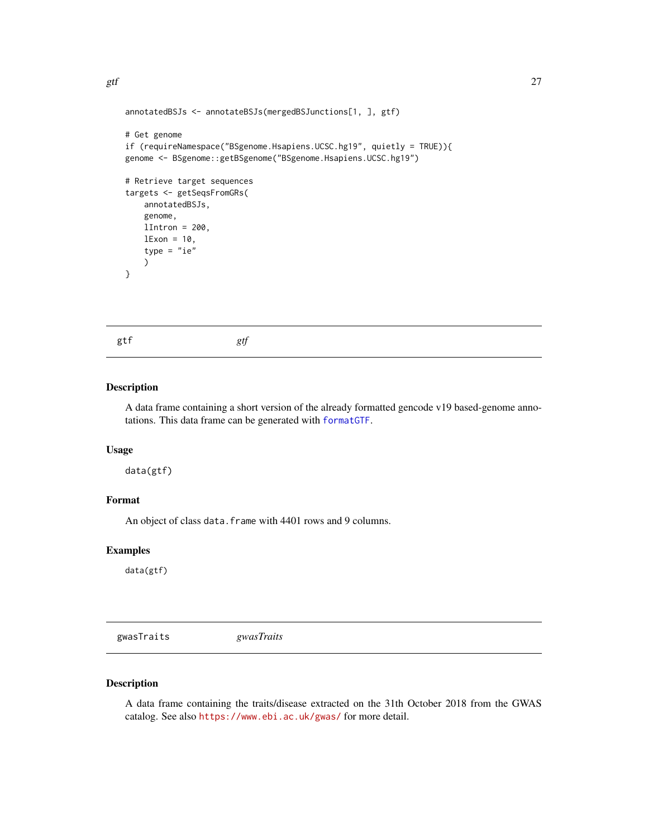```
annotatedBSJs <- annotateBSJs(mergedBSJunctions[1, ], gtf)
# Get genome
if (requireNamespace("BSgenome.Hsapiens.UCSC.hg19", quietly = TRUE)){
genome <- BSgenome::getBSgenome("BSgenome.Hsapiens.UCSC.hg19")
# Retrieve target sequences
targets <- getSeqsFromGRs(
   annotatedBSJs,
   genome,
   lIntron = 200,
   lExon = 10,
    type = "ie")
}
```
gtf *gtf*

#### Description

A data frame containing a short version of the already formatted gencode v19 based-genome annotations. This data frame can be generated with [formatGTF](#page-11-1).

### Usage

data(gtf)

### Format

An object of class data. frame with 4401 rows and 9 columns.

#### Examples

data(gtf)

gwasTraits *gwasTraits*

### Description

A data frame containing the traits/disease extracted on the 31th October 2018 from the GWAS catalog. See also <https://www.ebi.ac.uk/gwas/> for more detail.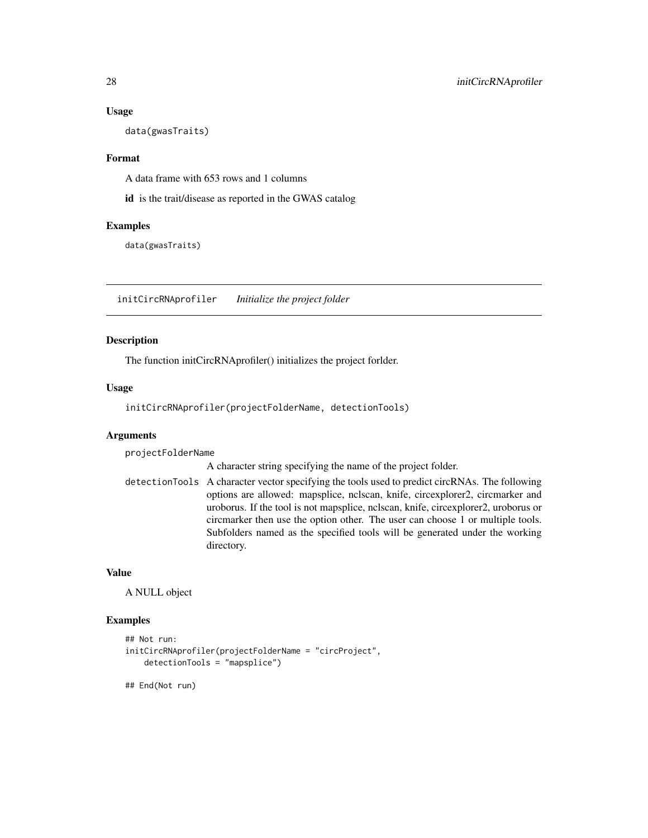#### Usage

data(gwasTraits)

#### Format

A data frame with 653 rows and 1 columns

id is the trait/disease as reported in the GWAS catalog

#### Examples

data(gwasTraits)

<span id="page-27-1"></span>initCircRNAprofiler *Initialize the project folder*

#### Description

The function initCircRNAprofiler() initializes the project forlder.

#### Usage

initCircRNAprofiler(projectFolderName, detectionTools)

### Arguments

projectFolderName

A character string specifying the name of the project folder.

detectionTools A character vector specifying the tools used to predict circRNAs. The following options are allowed: mapsplice, nclscan, knife, circexplorer2, circmarker and uroborus. If the tool is not mapsplice, nclscan, knife, circexplorer2, uroborus or circmarker then use the option other. The user can choose 1 or multiple tools. Subfolders named as the specified tools will be generated under the working directory.

#### Value

A NULL object

#### Examples

```
## Not run:
initCircRNAprofiler(projectFolderName = "circProject",
    detectionTools = "mapsplice")
```
## End(Not run)

<span id="page-27-0"></span>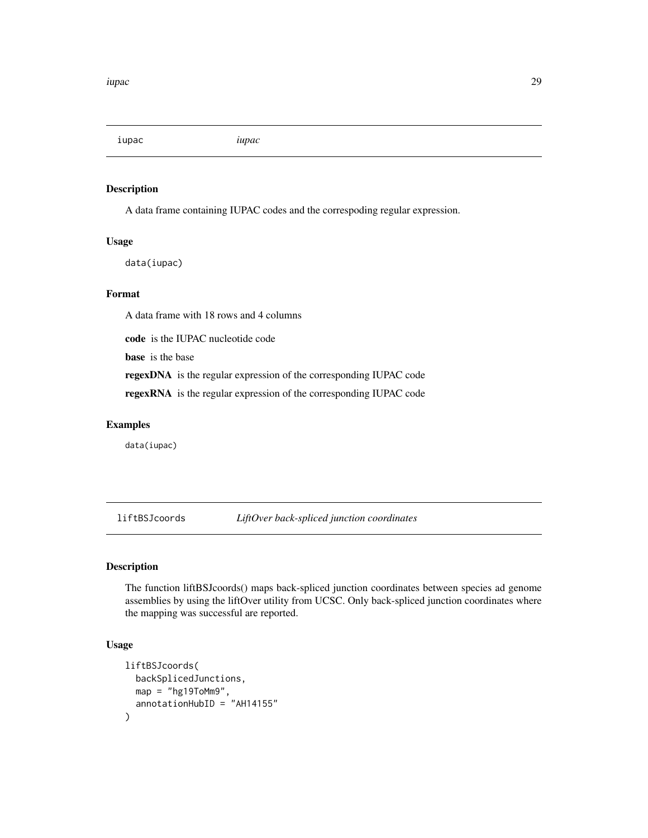<span id="page-28-0"></span>iupac *iupac*

### Description

A data frame containing IUPAC codes and the correspoding regular expression.

### Usage

data(iupac)

### Format

A data frame with 18 rows and 4 columns

code is the IUPAC nucleotide code

base is the base

regexDNA is the regular expression of the corresponding IUPAC code

regexRNA is the regular expression of the corresponding IUPAC code

### Examples

data(iupac)

liftBSJcoords *LiftOver back-spliced junction coordinates*

### Description

The function liftBSJcoords() maps back-spliced junction coordinates between species ad genome assemblies by using the liftOver utility from UCSC. Only back-spliced junction coordinates where the mapping was successful are reported.

### Usage

```
liftBSJcoords(
  backSplicedJunctions,
  map = "hg19ToMm9",annotationHubID = "AH14155"
\mathcal{E}
```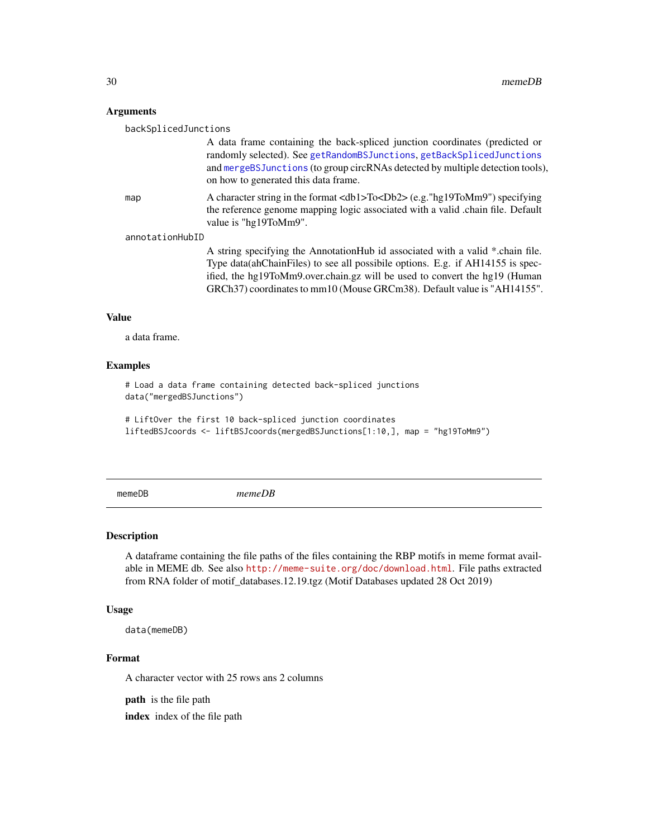#### <span id="page-29-0"></span>Arguments

backSplicedJunctions

A data frame containing the back-spliced junction coordinates (predicted or randomly selected). See [getRandomBSJunctions](#page-22-1), [getBackSplicedJunctions](#page-12-1) and [mergeBSJunctions](#page-30-1) (to group circRNAs detected by multiple detection tools), on how to generated this data frame.

map A character string in the format <db1>To<Db2> (e.g. "hg19ToMm9") specifying the reference genome mapping logic associated with a valid .chain file. Default value is "hg19ToMm9".

annotationHubID

A string specifying the AnnotationHub id associated with a valid \*.chain file. Type data(ahChainFiles) to see all possibile options. E.g. if AH14155 is specified, the hg19ToMm9.over.chain.gz will be used to convert the hg19 (Human GRCh37) coordinates to mm10 (Mouse GRCm38). Default value is "AH14155".

#### Value

a data frame.

#### Examples

# Load a data frame containing detected back-spliced junctions data("mergedBSJunctions")

# LiftOver the first 10 back-spliced junction coordinates liftedBSJcoords <- liftBSJcoords(mergedBSJunctions[1:10,], map = "hg19ToMm9")

memeDB *memeDB*

#### Description

A dataframe containing the file paths of the files containing the RBP motifs in meme format available in MEME db. See also <http://meme-suite.org/doc/download.html>. File paths extracted from RNA folder of motif\_databases.12.19.tgz (Motif Databases updated 28 Oct 2019)

#### Usage

data(memeDB)

#### Format

A character vector with 25 rows ans 2 columns

path is the file path

index index of the file path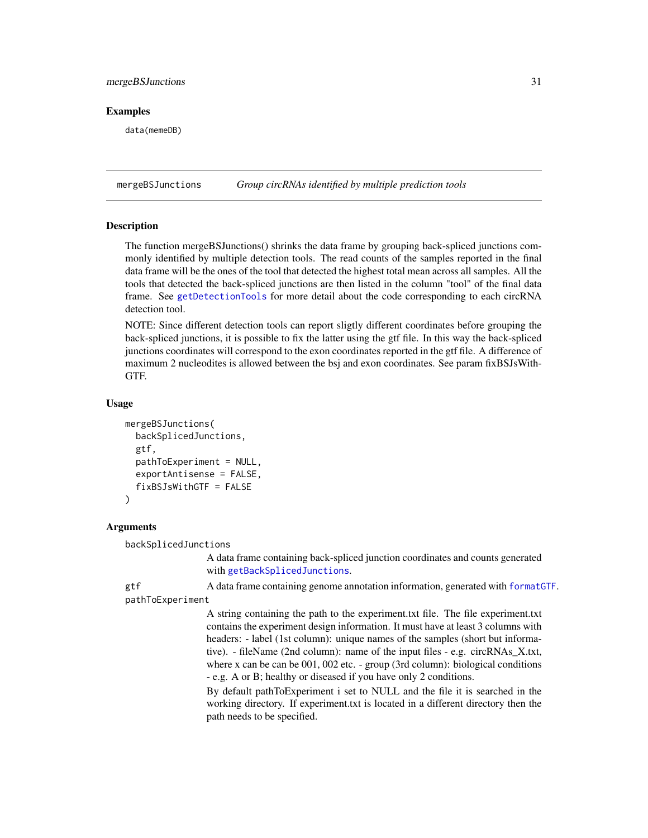#### <span id="page-30-0"></span>mergeBSJunctions 31

### Examples

data(memeDB)

<span id="page-30-1"></span>mergeBSJunctions *Group circRNAs identified by multiple prediction tools*

#### Description

The function mergeBSJunctions() shrinks the data frame by grouping back-spliced junctions commonly identified by multiple detection tools. The read counts of the samples reported in the final data frame will be the ones of the tool that detected the highest total mean across all samples. All the tools that detected the back-spliced junctions are then listed in the column "tool" of the final data frame. See [getDetectionTools](#page-16-1) for more detail about the code corresponding to each circRNA detection tool.

NOTE: Since different detection tools can report sligtly different coordinates before grouping the back-spliced junctions, it is possible to fix the latter using the gtf file. In this way the back-spliced junctions coordinates will correspond to the exon coordinates reported in the gtf file. A difference of maximum 2 nucleodites is allowed between the bsj and exon coordinates. See param fixBSJsWith-GTF.

#### Usage

```
mergeBSJunctions(
  backSplicedJunctions,
  gtf,
 pathToExperiment = NULL,
  exportAntisense = FALSE,
  fixBSJsWithGTF = FALSE
)
```
#### Arguments

backSplicedJunctions

A data frame containing back-spliced junction coordinates and counts generated with [getBackSplicedJunctions](#page-12-1).

gtf A data frame containing genome annotation information, generated with format GTF.

pathToExperiment

A string containing the path to the experiment.txt file. The file experiment.txt contains the experiment design information. It must have at least 3 columns with headers: - label (1st column): unique names of the samples (short but informative). - fileName (2nd column): name of the input files - e.g. circRNAs\_X.txt, where x can be can be 001, 002 etc. - group (3rd column): biological conditions - e.g. A or B; healthy or diseased if you have only 2 conditions.

By default pathToExperiment i set to NULL and the file it is searched in the working directory. If experiment.txt is located in a different directory then the path needs to be specified.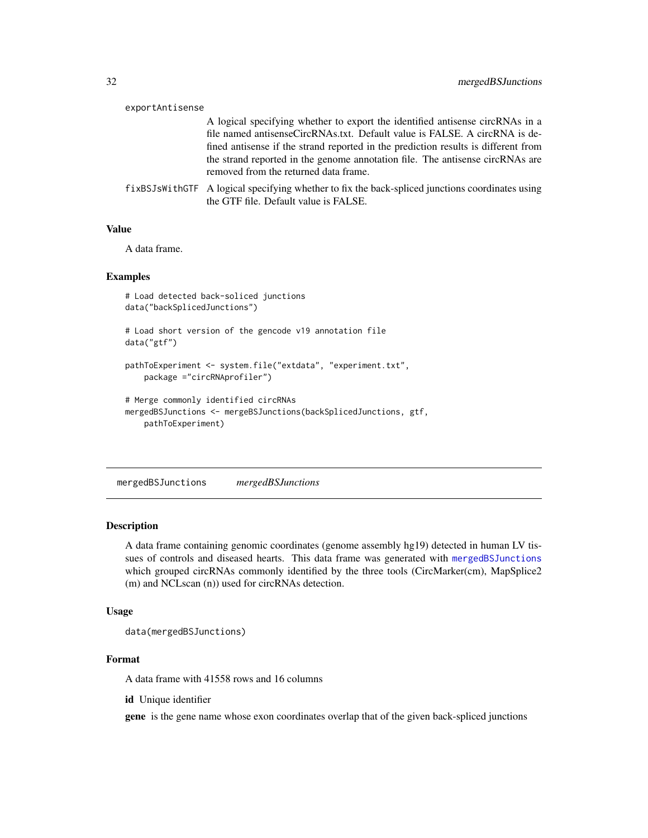<span id="page-31-0"></span>

| exportAntisense |                                                                                                                                          |
|-----------------|------------------------------------------------------------------------------------------------------------------------------------------|
|                 | A logical specifying whether to export the identified antisense circRNAs in a                                                            |
|                 | file named antisense CircRNAs.txt. Default value is FALSE. A circRNA is de-                                                              |
|                 | fined antisense if the strand reported in the prediction results is different from                                                       |
|                 | the strand reported in the genome annotation file. The antisense circRNAs are<br>removed from the returned data frame.                   |
|                 | fixBSJsWithGTF A logical specifying whether to fix the back-spliced junctions coordinates using<br>the GTF file. Default value is FALSE. |

#### Value

A data frame.

#### Examples

```
# Load detected back-soliced junctions
data("backSplicedJunctions")
# Load short version of the gencode v19 annotation file
data("gtf")
pathToExperiment <- system.file("extdata", "experiment.txt",
   package ="circRNAprofiler")
# Merge commonly identified circRNAs
mergedBSJunctions <- mergeBSJunctions(backSplicedJunctions, gtf,
   pathToExperiment)
```
<span id="page-31-1"></span>mergedBSJunctions *mergedBSJunctions*

### Description

A data frame containing genomic coordinates (genome assembly hg19) detected in human LV tissues of controls and diseased hearts. This data frame was generated with [mergedBSJunctions](#page-31-1) which grouped circRNAs commonly identified by the three tools (CircMarker(cm), MapSplice2 (m) and NCLscan (n)) used for circRNAs detection.

### Usage

data(mergedBSJunctions)

#### Format

A data frame with 41558 rows and 16 columns

id Unique identifier

gene is the gene name whose exon coordinates overlap that of the given back-spliced junctions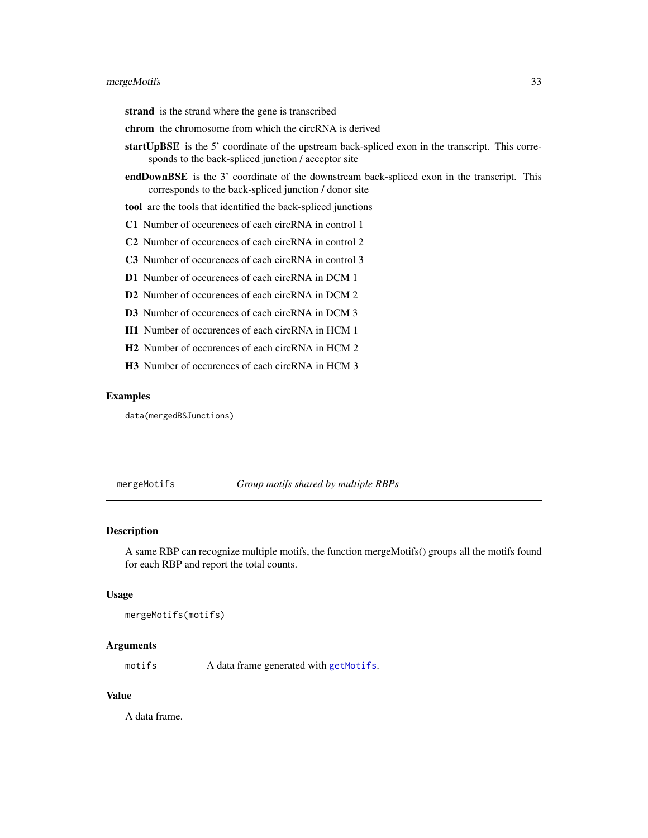<span id="page-32-0"></span>strand is the strand where the gene is transcribed

- chrom the chromosome from which the circRNA is derived
- startUpBSE is the 5' coordinate of the upstream back-spliced exon in the transcript. This corresponds to the back-spliced junction / acceptor site
- endDownBSE is the 3' coordinate of the downstream back-spliced exon in the transcript. This corresponds to the back-spliced junction / donor site
- tool are the tools that identified the back-spliced junctions
- C1 Number of occurences of each circRNA in control 1
- C2 Number of occurences of each circRNA in control 2
- C3 Number of occurences of each circRNA in control 3
- D1 Number of occurences of each circRNA in DCM 1
- D<sub>2</sub> Number of occurences of each circRNA in DCM 2
- D3 Number of occurences of each circRNA in DCM 3
- H1 Number of occurences of each circRNA in HCM 1
- H2 Number of occurences of each circRNA in HCM 2
- H3 Number of occurences of each circRNA in HCM 3

#### Examples

data(mergedBSJunctions)

<span id="page-32-1"></span>mergeMotifs *Group motifs shared by multiple RBPs*

### Description

A same RBP can recognize multiple motifs, the function mergeMotifs() groups all the motifs found for each RBP and report the total counts.

#### Usage

mergeMotifs(motifs)

#### Arguments

motifs A data frame generated with [getMotifs](#page-20-1).

#### Value

A data frame.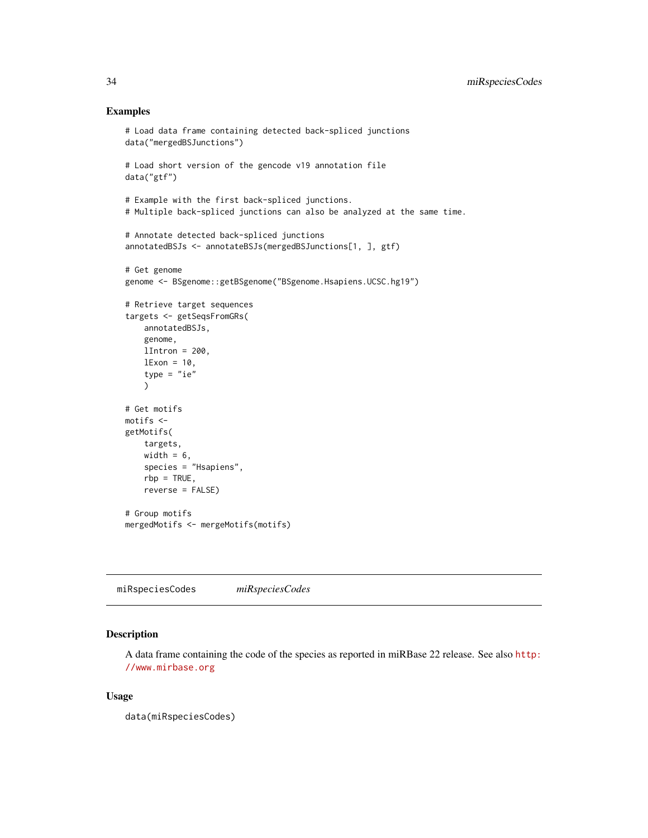#### Examples

```
# Load data frame containing detected back-spliced junctions
data("mergedBSJunctions")
# Load short version of the gencode v19 annotation file
data("gtf")
# Example with the first back-spliced junctions.
# Multiple back-spliced junctions can also be analyzed at the same time.
# Annotate detected back-spliced junctions
annotatedBSJs <- annotateBSJs(mergedBSJunctions[1, ], gtf)
# Get genome
genome <- BSgenome::getBSgenome("BSgenome.Hsapiens.UCSC.hg19")
# Retrieve target sequences
targets <- getSeqsFromGRs(
   annotatedBSJs,
   genome,
   llintron = 200,
   lExon = 10,
    type = "ie")
# Get motifs
motifs <-
getMotifs(
   targets,
   width = 6,
   species = "Hsapiens",
   rbp = TRUE,reverse = FALSE)
# Group motifs
mergedMotifs <- mergeMotifs(motifs)
```
miRspeciesCodes *miRspeciesCodes*

### Description

A data frame containing the code of the species as reported in miRBase 22 release. See also [http:](http://www.mirbase.org) [//www.mirbase.org](http://www.mirbase.org)

### Usage

data(miRspeciesCodes)

<span id="page-33-0"></span>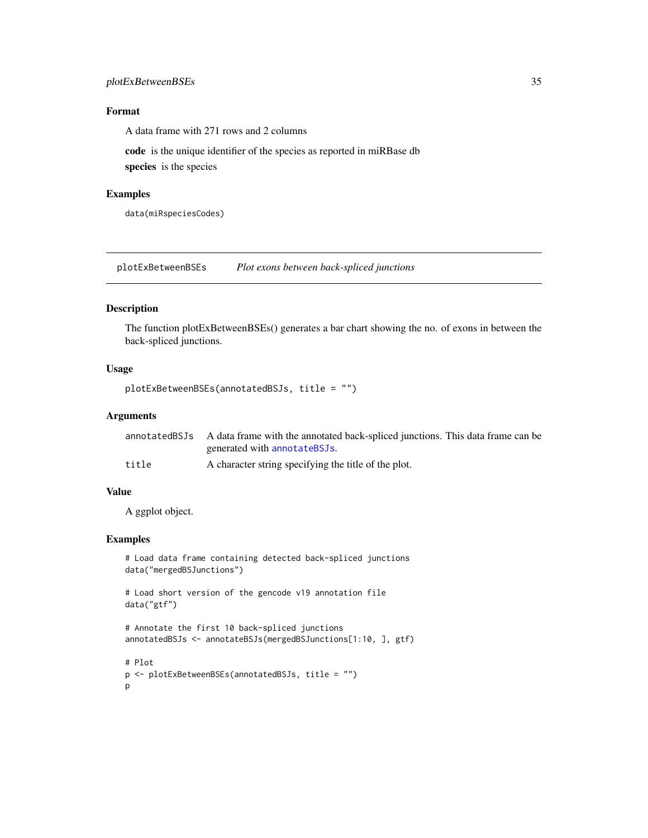### <span id="page-34-0"></span>plotExBetweenBSEs 35

### Format

A data frame with 271 rows and 2 columns

code is the unique identifier of the species as reported in miRBase db species is the species

### Examples

data(miRspeciesCodes)

plotExBetweenBSEs *Plot exons between back-spliced junctions*

### Description

The function plotExBetweenBSEs() generates a bar chart showing the no. of exons in between the back-spliced junctions.

#### Usage

```
plotExBetweenBSEs(annotatedBSJs, title = "")
```
#### Arguments

|       | annotated BSJs A data frame with the annotated back-spliced junctions. This data frame can be |
|-------|-----------------------------------------------------------------------------------------------|
|       | generated with annotateBSJs.                                                                  |
| title | A character string specifying the title of the plot.                                          |

#### Value

A ggplot object.

### Examples

```
# Load data frame containing detected back-spliced junctions
data("mergedBSJunctions")
```

```
# Load short version of the gencode v19 annotation file
data("gtf")
```

```
# Annotate the first 10 back-spliced junctions
annotatedBSJs <- annotateBSJs(mergedBSJunctions[1:10, ], gtf)
```

```
# Plot
p <- plotExBetweenBSEs(annotatedBSJs, title = "")
p
```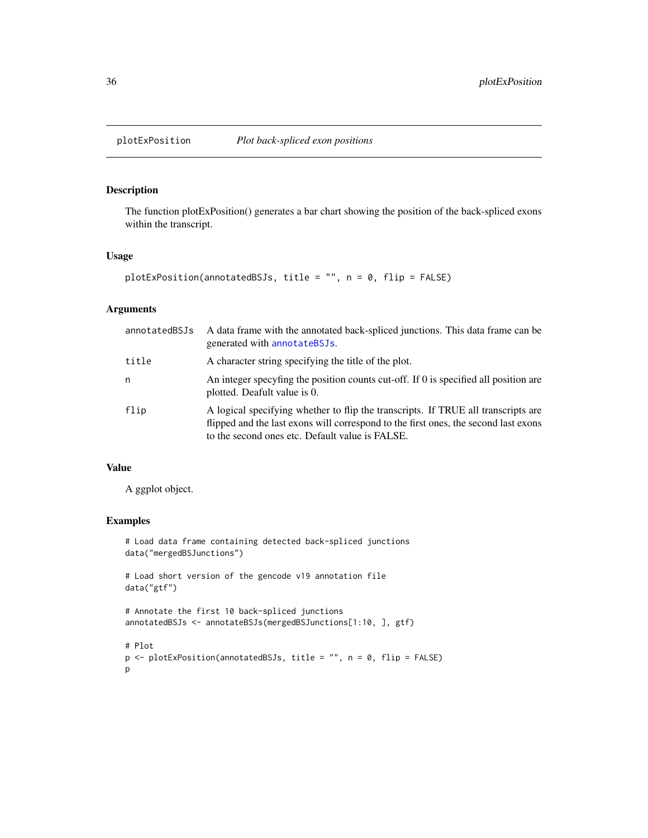<span id="page-35-0"></span>

### Description

The function plotExPosition() generates a bar chart showing the position of the back-spliced exons within the transcript.

### Usage

```
plotExPosition(annotatedBSJs, title = "", n = 0, flip = FALSE)
```
### Arguments

| annotatedBSJs | A data frame with the annotated back-spliced junctions. This data frame can be<br>generated with annotateBSJs.                                                                                                              |
|---------------|-----------------------------------------------------------------------------------------------------------------------------------------------------------------------------------------------------------------------------|
| title         | A character string specifying the title of the plot.                                                                                                                                                                        |
| n             | An integer specyfing the position counts cut-off. If 0 is specified all position are<br>plotted. Deafult value is 0.                                                                                                        |
| flip          | A logical specifying whether to flip the transcripts. If TRUE all transcripts are<br>flipped and the last exons will correspond to the first ones, the second last exons<br>to the second ones etc. Default value is FALSE. |

### Value

A ggplot object.

### Examples

# Load data frame containing detected back-spliced junctions data("mergedBSJunctions")

# Load short version of the gencode v19 annotation file data("gtf")

```
# Annotate the first 10 back-spliced junctions
annotatedBSJs <- annotateBSJs(mergedBSJunctions[1:10, ], gtf)
```
# Plot p <- plotExPosition(annotatedBSJs, title = "", n = 0, flip = FALSE) p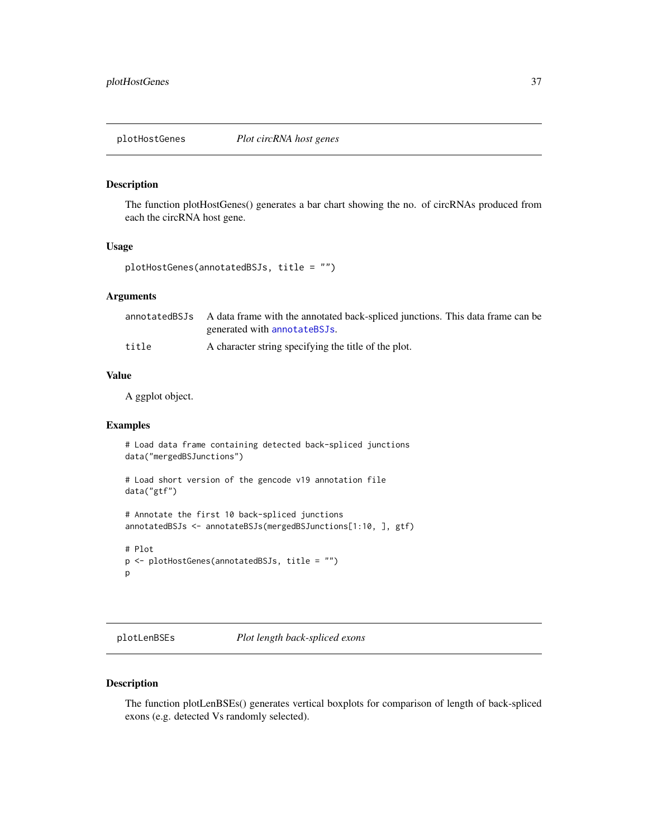<span id="page-36-0"></span>plotHostGenes *Plot circRNA host genes*

#### Description

The function plotHostGenes() generates a bar chart showing the no. of circRNAs produced from each the circRNA host gene.

#### Usage

```
plotHostGenes(annotatedBSJs, title = "")
```
### Arguments

|       | annotatedBSJs A data frame with the annotated back-spliced junctions. This data frame can be |
|-------|----------------------------------------------------------------------------------------------|
|       | generated with annotateBSJs.                                                                 |
| title | A character string specifying the title of the plot.                                         |

#### Value

A ggplot object.

### Examples

```
# Load data frame containing detected back-spliced junctions
data("mergedBSJunctions")
# Load short version of the gencode v19 annotation file
data("gtf")
# Annotate the first 10 back-spliced junctions
annotatedBSJs <- annotateBSJs(mergedBSJunctions[1:10, ], gtf)
# Plot
```

```
p <- plotHostGenes(annotatedBSJs, title = "")
p
```
plotLenBSEs *Plot length back-spliced exons*

#### Description

The function plotLenBSEs() generates vertical boxplots for comparison of length of back-spliced exons (e.g. detected Vs randomly selected).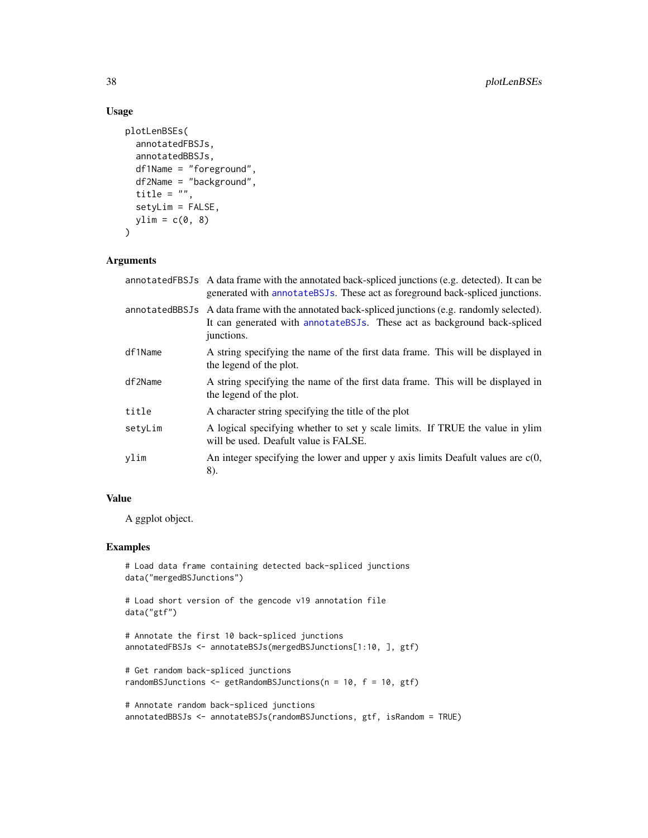### Usage

```
plotLenBSEs(
  annotatedFBSJs,
  annotatedBBSJs,
 df1Name = "foreground",
  df2Name = "background",
  title = ",
  setyLim = FALSE,
 ylim = c(0, 8))
```
### Arguments

|         | annotated FBSJs A data frame with the annotated back-spliced junctions (e.g. detected). It can be<br>generated with annotate BSJs. These act as foreground back-spliced junctions.         |
|---------|--------------------------------------------------------------------------------------------------------------------------------------------------------------------------------------------|
|         | annotatedBBSJs A data frame with the annotated back-spliced junctions (e.g. randomly selected).<br>It can generated with annotate BSJs. These act as background back-spliced<br>junctions. |
| df1Name | A string specifying the name of the first data frame. This will be displayed in<br>the legend of the plot.                                                                                 |
| df2Name | A string specifying the name of the first data frame. This will be displayed in<br>the legend of the plot.                                                                                 |
| title   | A character string specifying the title of the plot                                                                                                                                        |
| setyLim | A logical specifying whether to set y scale limits. If TRUE the value in ylim<br>will be used. Deafult value is FALSE.                                                                     |
| ylim    | An integer specifying the lower and upper $y$ axis limits Deafult values are $c(0, 0)$<br>8).                                                                                              |

### Value

A ggplot object.

### Examples

```
# Load data frame containing detected back-spliced junctions
data("mergedBSJunctions")
# Load short version of the gencode v19 annotation file
data("gtf")
# Annotate the first 10 back-spliced junctions
annotatedFBSJs <- annotateBSJs(mergedBSJunctions[1:10, ], gtf)
# Get random back-spliced junctions
randomBSJunctions \leq getRandomBSJunctions(n = 10, f = 10, gtf)
# Annotate random back-spliced junctions
```
annotatedBBSJs <- annotateBSJs(randomBSJunctions, gtf, isRandom = TRUE)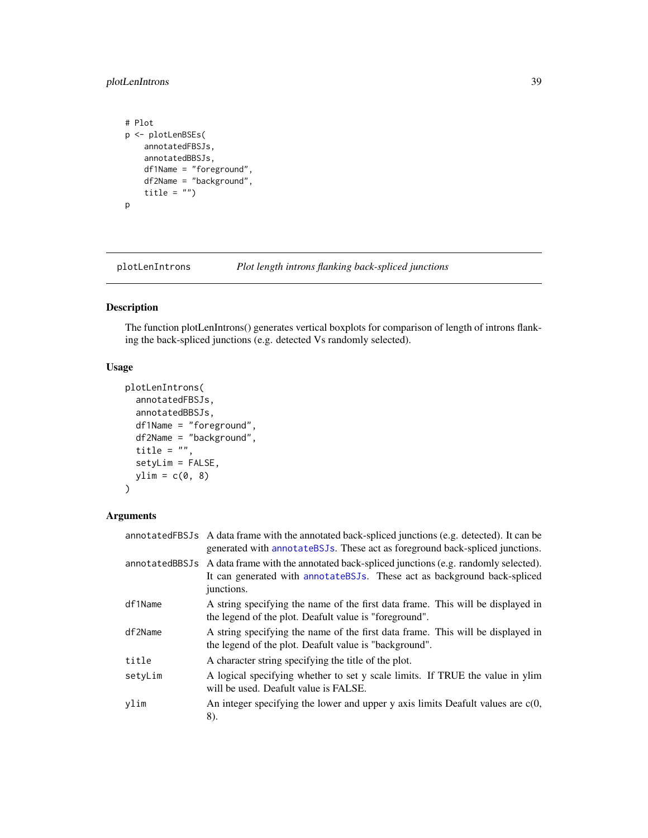### <span id="page-38-0"></span>plotLenIntrons 39

```
# Plot
p <- plotLenBSEs(
   annotatedFBSJs,
   annotatedBBSJs,
   df1Name = "foreground",
   df2Name = "background",
   title = ")
p
```
plotLenIntrons *Plot length introns flanking back-spliced junctions*

### Description

The function plotLenIntrons() generates vertical boxplots for comparison of length of introns flanking the back-spliced junctions (e.g. detected Vs randomly selected).

### Usage

```
plotLenIntrons(
 annotatedFBSJs,
 annotatedBBSJs,
 df1Name = "foreground",
 df2Name = "background",
 title = ",
  setyLim = FALSE,
 ylim = c(0, 8))
```
### Arguments

|         | annotatedFBSJs A data frame with the annotated back-spliced junctions (e.g. detected). It can be<br>generated with annotate BSJs. These act as foreground back-spliced junctions.          |
|---------|--------------------------------------------------------------------------------------------------------------------------------------------------------------------------------------------|
|         | annotatedBBSJs A data frame with the annotated back-spliced junctions (e.g. randomly selected).<br>It can generated with annotate BSJs. These act as background back-spliced<br>junctions. |
| df1Name | A string specifying the name of the first data frame. This will be displayed in<br>the legend of the plot. Deafult value is "foreground".                                                  |
| df2Name | A string specifying the name of the first data frame. This will be displayed in<br>the legend of the plot. Deafult value is "background".                                                  |
| title   | A character string specifying the title of the plot.                                                                                                                                       |
| setyLim | A logical specifying whether to set y scale limits. If TRUE the value in ylim<br>will be used. Deafult value is FALSE.                                                                     |
| vlim    | An integer specifying the lower and upper $y$ axis limits Deafult values are $c(0, 0)$<br>8).                                                                                              |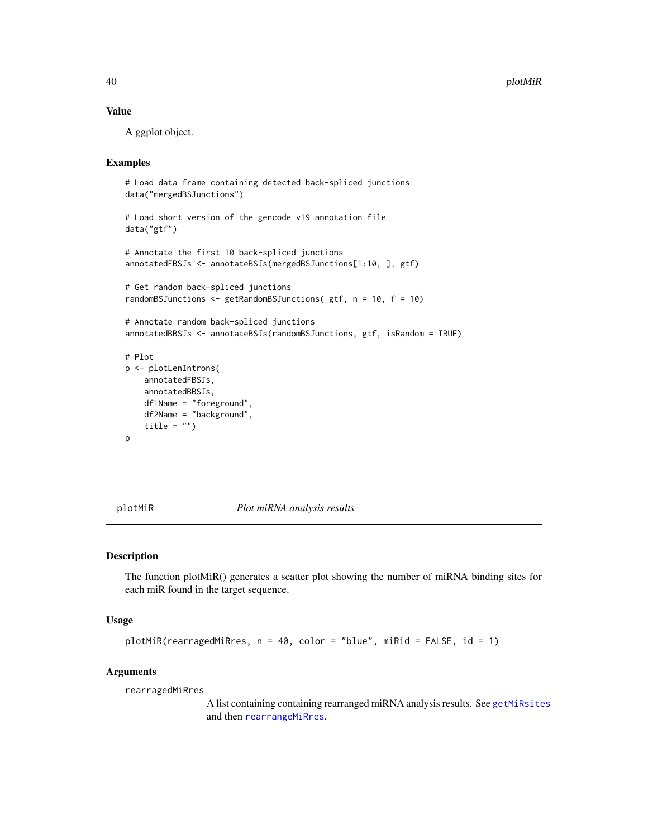### Value

A ggplot object.

### Examples

```
# Load data frame containing detected back-spliced junctions
data("mergedBSJunctions")
# Load short version of the gencode v19 annotation file
data("gtf")
# Annotate the first 10 back-spliced junctions
annotatedFBSJs <- annotateBSJs(mergedBSJunctions[1:10, ], gtf)
# Get random back-spliced junctions
randomBSJunctions <- getRandomBSJunctions( gtf, n = 10, f = 10)
# Annotate random back-spliced junctions
annotatedBBSJs <- annotateBSJs(randomBSJunctions, gtf, isRandom = TRUE)
# Plot
p <- plotLenIntrons(
   annotatedFBSJs,
   annotatedBBSJs,
   df1Name = "foreground",
   df2Name = "background",
   title = ")
p
```
plotMiR *Plot miRNA analysis results*

#### Description

The function plotMiR() generates a scatter plot showing the number of miRNA binding sites for each miR found in the target sequence.

#### Usage

```
plotMiR(rearragedMiRres, n = 40, color = "blue", miRid = FALSE, id = 1)
```
#### Arguments

rearragedMiRres

A list containing containing rearranged miRNA analysis results. See [getMiRsites](#page-18-1) and then [rearrangeMiRres](#page-44-1).

<span id="page-39-0"></span>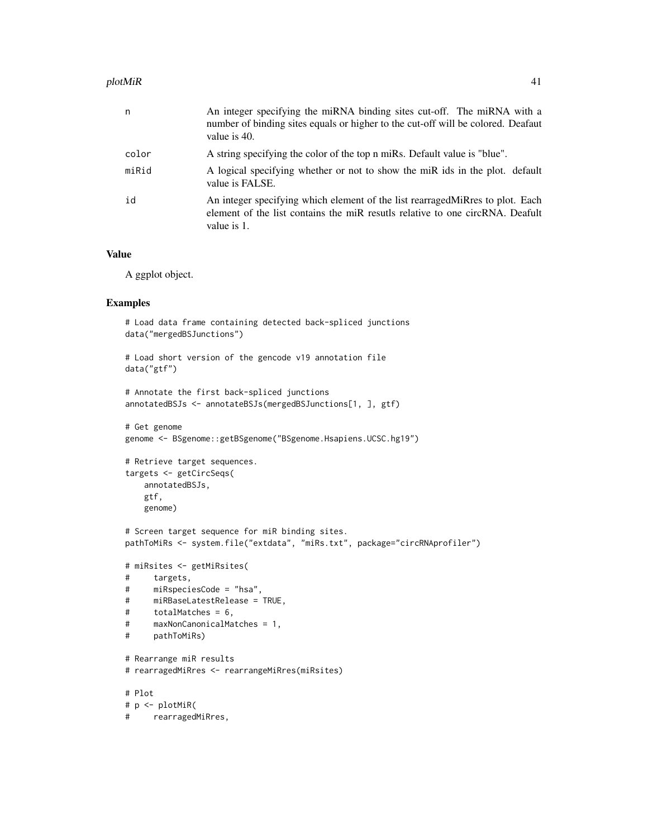#### plotMiR 41

| n     | An integer specifying the miRNA binding sites cut-off. The miRNA with a<br>number of binding sites equals or higher to the cut-off will be colored. Deafaut<br>value is 40.    |
|-------|--------------------------------------------------------------------------------------------------------------------------------------------------------------------------------|
| color | A string specifying the color of the top n miRs. Default value is "blue".                                                                                                      |
| miRid | A logical specifying whether or not to show the miR ids in the plot. default<br>value is FALSE.                                                                                |
| id    | An integer specifying which element of the list rearraged Mikres to plot. Each<br>element of the list contains the miR results relative to one circRNA. Deafult<br>value is 1. |

#### Value

A ggplot object.

### Examples

```
# Load data frame containing detected back-spliced junctions
data("mergedBSJunctions")
# Load short version of the gencode v19 annotation file
```

```
data("gtf")
```

```
# Annotate the first back-spliced junctions
annotatedBSJs <- annotateBSJs(mergedBSJunctions[1, ], gtf)
```

```
# Get genome
genome <- BSgenome::getBSgenome("BSgenome.Hsapiens.UCSC.hg19")
```

```
# Retrieve target sequences.
targets <- getCircSeqs(
   annotatedBSJs,
   gtf,
   genome)
```

```
# Screen target sequence for miR binding sites.
pathToMiRs <- system.file("extdata", "miRs.txt", package="circRNAprofiler")
```

```
# miRsites <- getMiRsites(
# targets,
# miRspeciesCode = "hsa",
# miRBaseLatestRelease = TRUE,
# totalMatches = 6,
# maxNonCanonicalMatches = 1,
# pathToMiRs)
```

```
# Rearrange miR results
# rearragedMiRres <- rearrangeMiRres(miRsites)
# Plot
# p <- plotMiR(
# rearragedMiRres,
```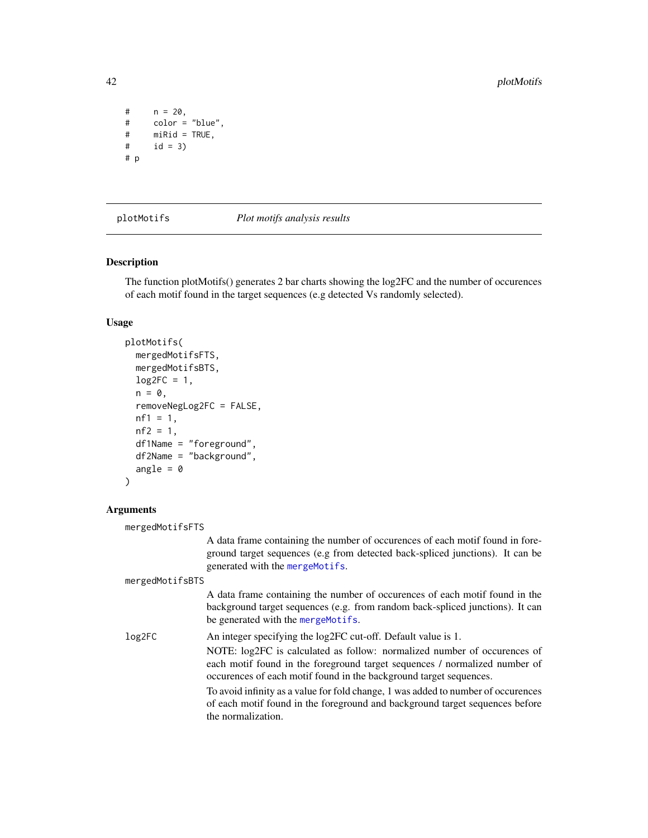```
# \t n = 20,# color = "blue",
# miRid = TRUE,<br># id = 3)
      id = 3)# p
```
#### plotMotifs *Plot motifs analysis results*

#### Description

The function plotMotifs() generates 2 bar charts showing the log2FC and the number of occurences of each motif found in the target sequences (e.g detected Vs randomly selected).

#### Usage

```
plotMotifs(
 mergedMotifsFTS,
 mergedMotifsBTS,
 log2FC = 1,
 n = 0,
  removeNegLog2FC = FALSE,
  nf1 = 1,nf2 = 1,df1Name = "foreground",
  df2Name = "background",
  angle = \theta)
```
the normalization.

#### **Arguments**

```
mergedMotifsFTS
                  A data frame containing the number of occurences of each motif found in fore-
                  ground target sequences (e.g from detected back-spliced junctions). It can be
                  generated with the mergeMotifs.
mergedMotifsBTS
                  A data frame containing the number of occurences of each motif found in the
                  background target sequences (e.g. from random back-spliced junctions). It can
                  be generated with the mergeMotifs.
log2FC An integer specifying the log2FC cut-off. Default value is 1.
                  NOTE: log2FC is calculated as follow: normalized number of occurences of
                  each motif found in the foreground target sequences / normalized number of
                  occurences of each motif found in the background target sequences.
                  To avoid infinity as a value for fold change, 1 was added to number of occurences
                  of each motif found in the foreground and background target sequences before
```
<span id="page-41-0"></span>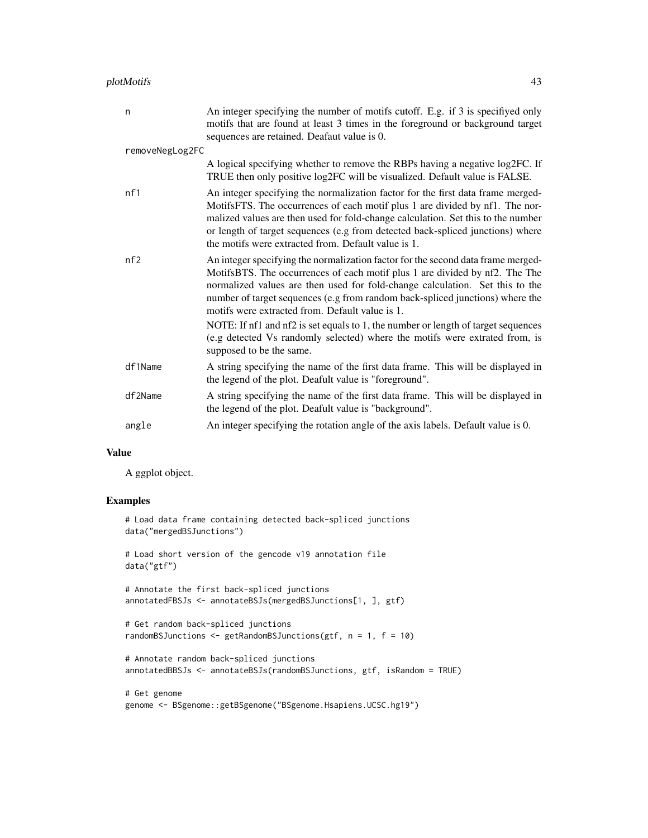### plotMotifs 43

| n               | An integer specifying the number of motifs cutoff. E.g. if 3 is specifiyed only<br>motifs that are found at least 3 times in the foreground or background target<br>sequences are retained. Deafaut value is 0.                                                                                                                                                                                                                                                                                                                                         |  |
|-----------------|---------------------------------------------------------------------------------------------------------------------------------------------------------------------------------------------------------------------------------------------------------------------------------------------------------------------------------------------------------------------------------------------------------------------------------------------------------------------------------------------------------------------------------------------------------|--|
| removeNegLog2FC |                                                                                                                                                                                                                                                                                                                                                                                                                                                                                                                                                         |  |
|                 | A logical specifying whether to remove the RBPs having a negative log2FC. If<br>TRUE then only positive log2FC will be visualized. Default value is FALSE.                                                                                                                                                                                                                                                                                                                                                                                              |  |
| nf1             | An integer specifying the normalization factor for the first data frame merged-<br>MotifsFTS. The occurrences of each motif plus 1 are divided by nf1. The nor-<br>malized values are then used for fold-change calculation. Set this to the number<br>or length of target sequences (e.g from detected back-spliced junctions) where<br>the motifs were extracted from. Default value is 1.                                                                                                                                                            |  |
| nf2             | An integer specifying the normalization factor for the second data frame merged-<br>MotifsBTS. The occurrences of each motif plus 1 are divided by nf2. The The<br>normalized values are then used for fold-change calculation. Set this to the<br>number of target sequences (e.g from random back-spliced junctions) where the<br>motifs were extracted from. Default value is 1.<br>NOTE: If nf1 and nf2 is set equals to 1, the number or length of target sequences<br>(e.g detected Vs randomly selected) where the motifs were extrated from, is |  |
|                 | supposed to be the same.                                                                                                                                                                                                                                                                                                                                                                                                                                                                                                                                |  |
| df1Name         | A string specifying the name of the first data frame. This will be displayed in<br>the legend of the plot. Deafult value is "foreground".                                                                                                                                                                                                                                                                                                                                                                                                               |  |
| df2Name         | A string specifying the name of the first data frame. This will be displayed in<br>the legend of the plot. Deafult value is "background".                                                                                                                                                                                                                                                                                                                                                                                                               |  |
| angle           | An integer specifying the rotation angle of the axis labels. Default value is 0.                                                                                                                                                                                                                                                                                                                                                                                                                                                                        |  |
|                 |                                                                                                                                                                                                                                                                                                                                                                                                                                                                                                                                                         |  |

#### Value

A ggplot object.

### Examples

```
# Load data frame containing detected back-spliced junctions
data("mergedBSJunctions")
# Load short version of the gencode v19 annotation file
data("gtf")
# Annotate the first back-spliced junctions
annotatedFBSJs <- annotateBSJs(mergedBSJunctions[1, ], gtf)
# Get random back-spliced junctions
randomBSJunctions <- getRandomBSJunctions(gtf, n = 1, f = 10)
# Annotate random back-spliced junctions
annotatedBBSJs <- annotateBSJs(randomBSJunctions, gtf, isRandom = TRUE)
# Get genome
```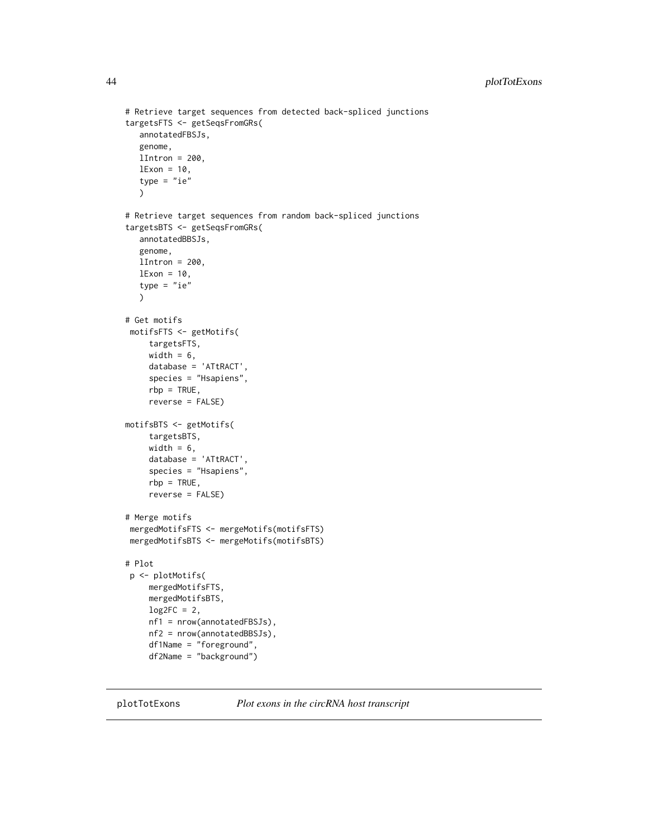```
# Retrieve target sequences from detected back-spliced junctions
targetsFTS <- getSeqsFromGRs(
   annotatedFBSJs,
  genome,
  lIntron = 200,
  lExon = 10,
   type = "ie"\lambda# Retrieve target sequences from random back-spliced junctions
targetsBTS <- getSeqsFromGRs(
   annotatedBBSJs,
   genome,
  lIntron = 200,
  lExon = 10,
   type = "ie")
# Get motifs
 motifsFTS <- getMotifs(
     targetsFTS,
     width = 6,
     database = 'ATtRACT',
     species = "Hsapiens",
     rbp = TRUE,reverse = FALSE)
motifsBTS <- getMotifs(
    targetsBTS,
     width = 6,
     database = 'ATtRACT',
     species = "Hsapiens",
     rbp = TRUE,reverse = FALSE)
# Merge motifs
 mergedMotifsFTS <- mergeMotifs(motifsFTS)
 mergedMotifsBTS <- mergeMotifs(motifsBTS)
# Plot
 p <- plotMotifs(
     mergedMotifsFTS,
    mergedMotifsBTS,
     log2FC = 2,
     nf1 = nrow(annotatedFBSJs),
     nf2 = nrow(annotatedBBSJs),
     df1Name = "foreground",
     df2Name = "background")
```
plotTotExons *Plot exons in the circRNA host transcript*

<span id="page-43-0"></span>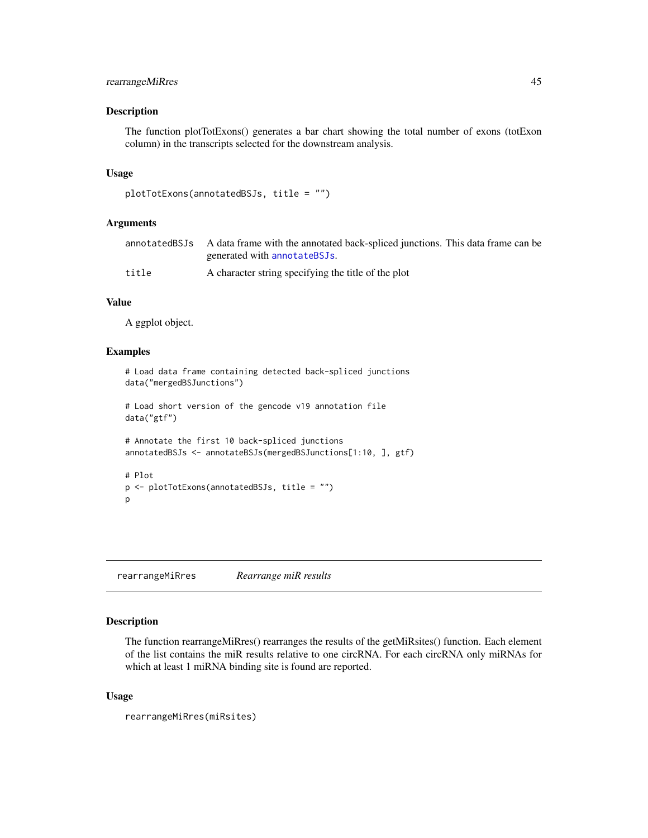### <span id="page-44-0"></span>rearrangeMiRres 45

### Description

The function plotTotExons() generates a bar chart showing the total number of exons (totExon column) in the transcripts selected for the downstream analysis.

### Usage

```
plotTotExons(annotatedBSJs, title = "")
```
#### Arguments

|       | annotatedBSJs A data frame with the annotated back-spliced junctions. This data frame can be |
|-------|----------------------------------------------------------------------------------------------|
|       | generated with annotateBSJs.                                                                 |
| title | A character string specifying the title of the plot                                          |

### Value

A ggplot object.

#### Examples

```
# Load data frame containing detected back-spliced junctions
data("mergedBSJunctions")
# Load short version of the gencode v19 annotation file
data("gtf")
# Annotate the first 10 back-spliced junctions
annotatedBSJs <- annotateBSJs(mergedBSJunctions[1:10, ], gtf)
# Plot
p <- plotTotExons(annotatedBSJs, title = "")
p
```
<span id="page-44-1"></span>rearrangeMiRres *Rearrange miR results*

### Description

The function rearrangeMiRres() rearranges the results of the getMiRsites() function. Each element of the list contains the miR results relative to one circRNA. For each circRNA only miRNAs for which at least 1 miRNA binding site is found are reported.

#### Usage

```
rearrangeMiRres(miRsites)
```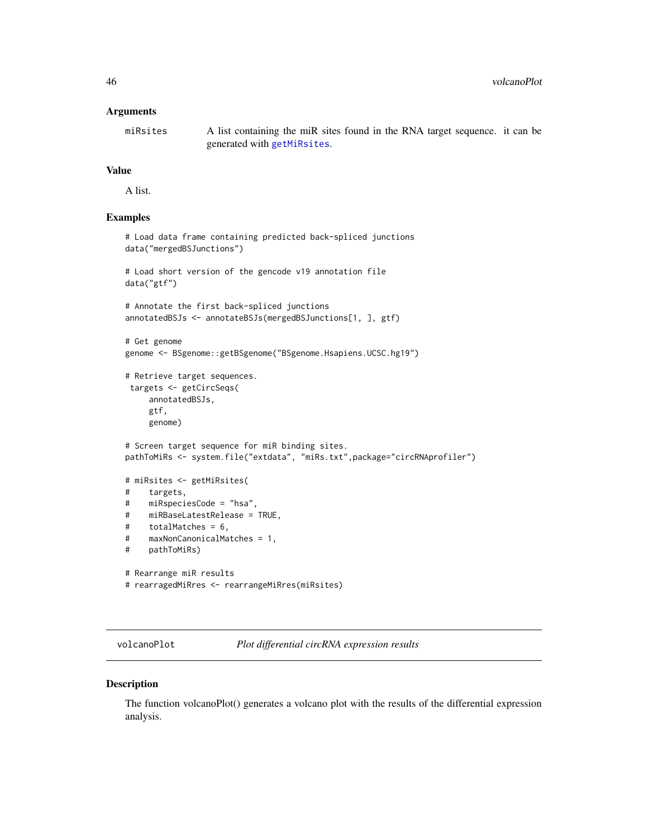#### <span id="page-45-0"></span>Arguments

miRsites A list containing the miR sites found in the RNA target sequence. it can be generated with [getMiRsites](#page-18-1).

### Value

A list.

### Examples

```
# Load data frame containing predicted back-spliced junctions
data("mergedBSJunctions")
# Load short version of the gencode v19 annotation file
data("gtf")
# Annotate the first back-spliced junctions
annotatedBSJs <- annotateBSJs(mergedBSJunctions[1, ], gtf)
# Get genome
genome <- BSgenome::getBSgenome("BSgenome.Hsapiens.UCSC.hg19")
# Retrieve target sequences.
targets <- getCircSeqs(
     annotatedBSJs,
     gtf,
     genome)
# Screen target sequence for miR binding sites.
pathToMiRs <- system.file("extdata", "miRs.txt",package="circRNAprofiler")
# miRsites <- getMiRsites(
# targets,
# miRspeciesCode = "hsa",
# miRBaseLatestRelease = TRUE,
# totalMatches = 6,
# maxNonCanonicalMatches = 1,
# pathToMiRs)
# Rearrange miR results
# rearragedMiRres <- rearrangeMiRres(miRsites)
```
volcanoPlot *Plot differential circRNA expression results*

### Description

The function volcanoPlot() generates a volcano plot with the results of the differential expression analysis.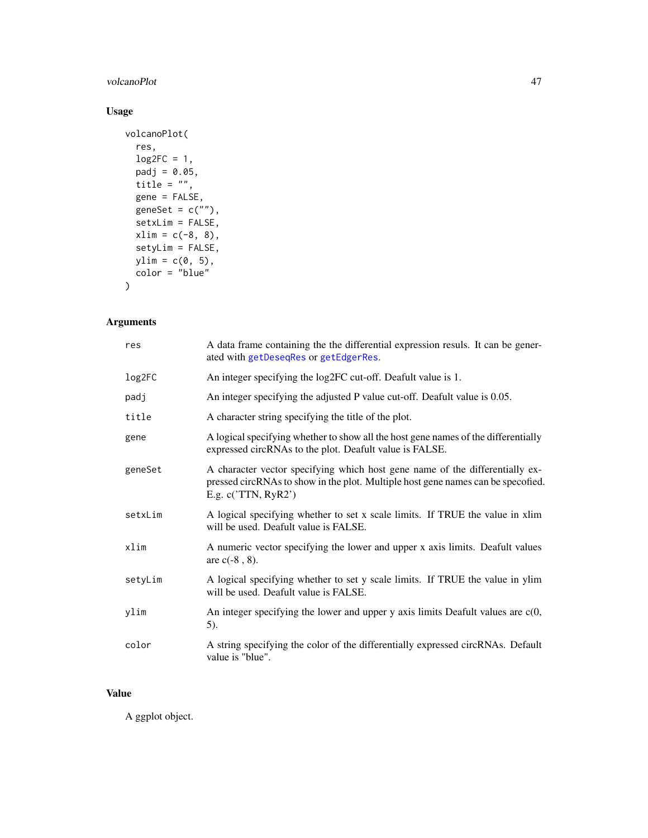### <span id="page-46-0"></span>volcanoPlot 47

## Usage

```
volcanoPlot(
  res,
  log2FC = 1,
  padj = 0.05,
  title = ",
  gene = FALSE,
 geneSet = c(""),
  setxLim = FALSE,
  xlim = c(-8, 8),setyLim = FALSE,
  ylim = c(0, 5),color = "blue"
\mathcal{L}
```
### Arguments

| res     | A data frame containing the the differential expression resuls. It can be gener-<br>ated with getDeseqRes or getEdgerRes.                                                                 |
|---------|-------------------------------------------------------------------------------------------------------------------------------------------------------------------------------------------|
| log2FC  | An integer specifying the log2FC cut-off. Deafult value is 1.                                                                                                                             |
| padj    | An integer specifying the adjusted P value cut-off. Deafult value is 0.05.                                                                                                                |
| title   | A character string specifying the title of the plot.                                                                                                                                      |
| gene    | A logical specifying whether to show all the host gene names of the differentially<br>expressed circRNAs to the plot. Deafult value is FALSE.                                             |
| geneSet | A character vector specifying which host gene name of the differentially ex-<br>pressed circRNAs to show in the plot. Multiple host gene names can be specofied.<br>E.g. $c('TTN, RyR2')$ |
| setxLim | A logical specifying whether to set x scale limits. If TRUE the value in xlim<br>will be used. Deafult value is FALSE.                                                                    |
| xlim    | A numeric vector specifying the lower and upper x axis limits. Deafult values<br>are $c(-8, 8)$ .                                                                                         |
| setyLim | A logical specifying whether to set y scale limits. If TRUE the value in ylim<br>will be used. Deafult value is FALSE.                                                                    |
| ylim    | An integer specifying the lower and upper $y$ axis limits Deafult values are $c(0, 0)$<br>$5)$ .                                                                                          |
| color   | A string specifying the color of the differentially expressed circRNAs. Default<br>value is "blue".                                                                                       |

### Value

A ggplot object.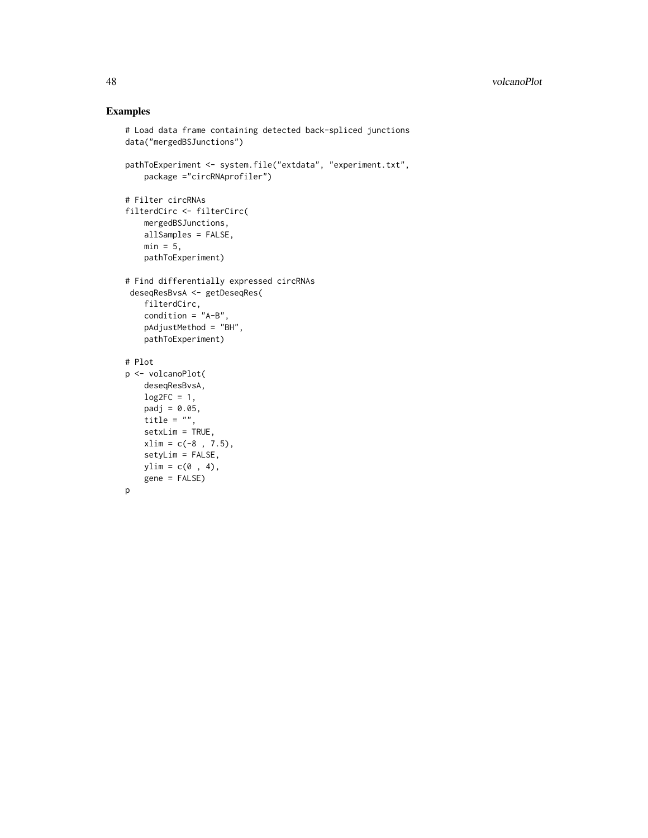### Examples

```
# Load data frame containing detected back-spliced junctions
data("mergedBSJunctions")
pathToExperiment <- system.file("extdata", "experiment.txt",
   package ="circRNAprofiler")
# Filter circRNAs
filterdCirc <- filterCirc(
   mergedBSJunctions,
   allSamples = FALSE,
   min = 5,
   pathToExperiment)
# Find differentially expressed circRNAs
 deseqResBvsA <- getDeseqRes(
   filterdCirc,
   condition = "A-B",
   pAdjustMethod = "BH",
   pathToExperiment)
# Plot
p <- volcanoPlot(
    deseqResBvsA,
   log2FC = 1,
   padj = 0.05,title = ",
   setxLim = TRUE,
   xlim = c(-8, 7.5),setyLim = FALSE,
   ylim = c(0, 4),gene = FALSE)
p
```